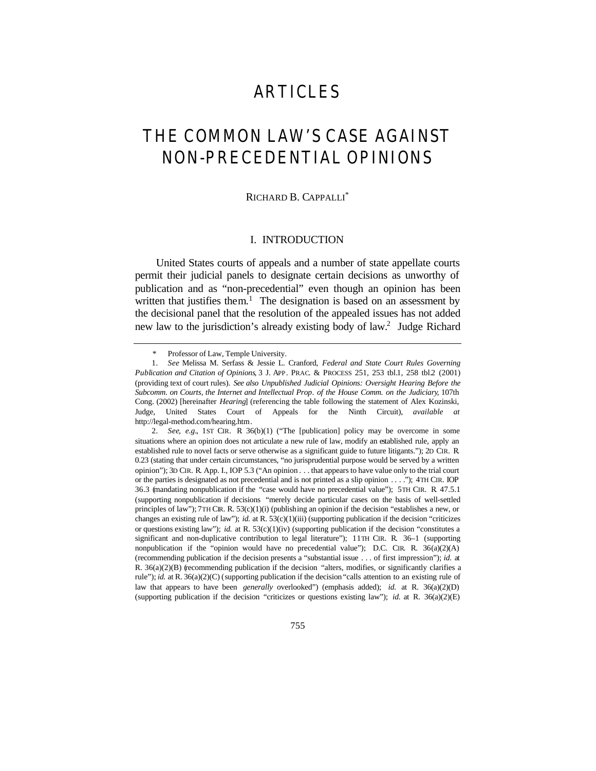# ARTICLES

# THE COMMON LAW'S CASE AGAINST NON-PRECEDENTIAL OPINIONS

#### RICHARD B. CAPPALLI\*

## I. INTRODUCTION

United States courts of appeals and a number of state appellate courts permit their judicial panels to designate certain decisions as unworthy of publication and as "non-precedential" even though an opinion has been written that justifies them.<sup>1</sup> The designation is based on an assessment by the decisional panel that the resolution of the appealed issues has not added new law to the jurisdiction's already existing body of law.<sup>2</sup> Judge Richard

 <sup>\*</sup> Professor of Law, Temple University.

<sup>1</sup>*. See* Melissa M. Serfass & Jessie L. Cranford, *Federal and State Court Rules Governing Publication and Citation of Opinions*, 3 J. APP. PRAC. & PROCESS 251, 253 tbl.1, 258 tbl.2 (2001) (providing text of court rules). *See also Unpublished Judicial Opinions: Oversight Hearing Before the Subcomm. on Courts, the Internet and Intellectual Prop. of the House Comm. on the Judiciary*, 107th Cong. (2002) [hereinafter *Hearing*] (referencing the table following the statement of Alex Kozinski, Judge, United States Court of Appeals for the Ninth Circuit), *available at* http://legal-method.com/hearing.htm.

<sup>2</sup>*. See, e.g.*, 1ST CIR. R. 36(b)(1) ("The [publication] policy may be overcome in some situations where an opinion does not articulate a new rule of law, modify an established rule, apply an established rule to novel facts or serve otherwise as a significant guide to future litigants."); 2D CIR. R. 0.23 (stating that under certain circumstances, "no jurisprudential purpose would be served by a written opinion"); 3D CIR. R. App. I., IOP 5.3 ("An opinion . . . that appears to have value only to the trial court or the parties is designated as not precedential and is not printed as a slip opinion . . . ."); 4TH CIR. IOP 36.3 (mandating nonpublication if the "case would have no precedential value"); 5TH CIR. R. 47.5.1 (supporting nonpublication if decisions "merely decide particular cases on the basis of well-settled principles of law"); 7TH CIR. R. 53(c)(1)(i) (publishing an opinion if the decision "establishes a new, or changes an existing rule of law"); *id.* at R. 53(c)(1)(iii) (supporting publication if the decision "criticizes" or questions existing law"); *id.* at R. 53(c)(1)(iv) (supporting publication if the decision "constitutes a significant and non-duplicative contribution to legal literature"); 11TH CIR. R. 36–1 (supporting nonpublication if the "opinion would have no precedential value"); D.C. CIR. R.  $36(a)(2)(A)$ (recommending publication if the decision presents a "substantial issue . . . of first impression"); *id.* at R. 36(a)(2)(B) (recommending publication if the decision "alters, modifies, or significantly clarifies a rule"); *id.* at R. 36(a)(2)(C) (supporting publication if the decision "calls attention to an existing rule of law that appears to have been *generally* overlooked") (emphasis added); *id.* at R. 36(a)(2)(D) (supporting publication if the decision "criticizes or questions existing law"); *id.* at R. 36(a)(2)(E)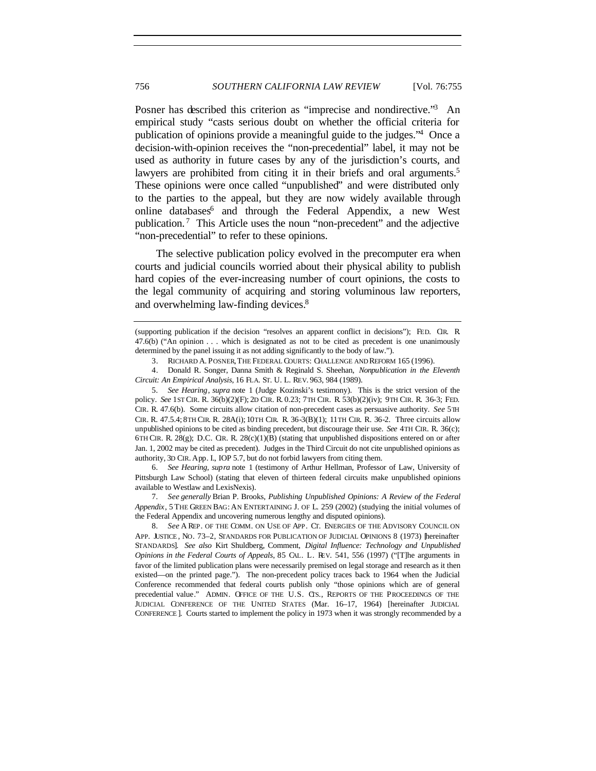Posner has described this criterion as "imprecise and nondirective."<sup>3</sup> An empirical study "casts serious doubt on whether the official criteria for publication of opinions provide a meaningful guide to the judges."<sup>4</sup> Once a decision-with-opinion receives the "non-precedential" label, it may not be used as authority in future cases by any of the jurisdiction's courts, and lawyers are prohibited from citing it in their briefs and oral arguments.<sup>5</sup> These opinions were once called "unpublished" and were distributed only to the parties to the appeal, but they are now widely available through online databases<sup>6</sup> and through the Federal Appendix, a new West publication.<sup>7</sup> This Article uses the noun "non-precedent" and the adjective "non-precedential" to refer to these opinions.

The selective publication policy evolved in the precomputer era when courts and judicial councils worried about their physical ability to publish hard copies of the ever-increasing number of court opinions, the costs to the legal community of acquiring and storing voluminous law reporters, and overwhelming law-finding devices.<sup>8</sup>

6*. See Hearing, supra* note 1 (testimony of Arthur Hellman, Professor of Law, University of Pittsburgh Law School) (stating that eleven of thirteen federal circuits make unpublished opinions available to Westlaw and LexisNexis).

7*. See generally* Brian P. Brooks, *Publishing Unpublished Opinions: A Review of the Federal Appendix*, 5 THE GREEN BAG: AN ENTERTAINING J. OF L. 259 (2002) (studying the initial volumes of the Federal Appendix and uncovering numerous lengthy and disputed opinions).

8*. See* A REP. OF THE COMM. ON USE OF APP. CT. ENERGIES OF THE ADVISORY COUNCIL ON APP. JUSTICE, NO. 73-2, STANDARDS FOR PUBLICATION OF JUDICIAL OPINIONS 8 (1973) [hereinafter STANDARDS]. *See also* Kirt Shuldberg, Comment, *Digital Influence: Technology and Unpublished Opinions in the Federal Courts of Appeals*, 85 CAL. L. REV. 541, 556 (1997) ("[T]he arguments in favor of the limited publication plans were necessarily premised on legal storage and research as it then existed—on the printed page."). The non-precedent policy traces back to 1964 when the Judicial Conference recommended that federal courts publish only "those opinions which are of general precedential value*.*"ADMIN. OFFICE OF THE U.S. CTS., REPORTS OF THE PROCEEDINGS OF THE JUDICIAL CONFERENCE OF THE UNITED STATES (Mar. 16–17, 1964) [hereinafter JUDICIAL CONFERENCE ]. Courts started to implement the policy in 1973 when it was strongly recommended by a

<sup>(</sup>supporting publication if the decision "resolves an apparent conflict in decisions"); FED. CIR. R. 47.6(b) ("An opinion . . . which is designated as not to be cited as precedent is one unanimously determined by the panel issuing it as not adding significantly to the body of law.").

<sup>3.</sup> RICHARD A. POSNER, THE FEDERAL COURTS: CHALLENGE AND REFORM 165 (1996).

<sup>4.</sup> Donald R. Songer, Danna Smith & Reginald S. Sheehan, *Nonpublication in the Eleventh Circuit: An Empirical Analysis*, 16 FLA. ST. U. L. REV. 963, 984 (1989).

<sup>5</sup>*. See Hearing*, *supra* note 1 (Judge Kozinski's testimony). This is the strict version of the policy. *See* 1ST CIR. R. 36(b)(2)(F); 2D CIR. R. 0.23; 7TH CIR. R. 53(b)(2)(iv); 9TH CIR. R. 36-3; FED. CIR. R. 47.6(b). Some circuits allow citation of non-precedent cases as persuasive authority. *See* 5TH CIR. R. 47.5.4; 8TH CIR. R. 28A(i); 10TH CIR. R. 36-3(B)(1); 11TH CIR. R. 36-2. Three circuits allow unpublished opinions to be cited as binding precedent, but discourage their use. *See* 4TH CIR. R. 36(c); 6TH CIR. R. 28(g); D.C. CIR. R. 28(c)(1)(B) (stating that unpublished dispositions entered on or after Jan. 1, 2002 may be cited as precedent). Judges in the Third Circuit do not cite unpublished opinions as authority, 3D CIR. App. I., IOP 5.7, but do not forbid lawyers from citing them.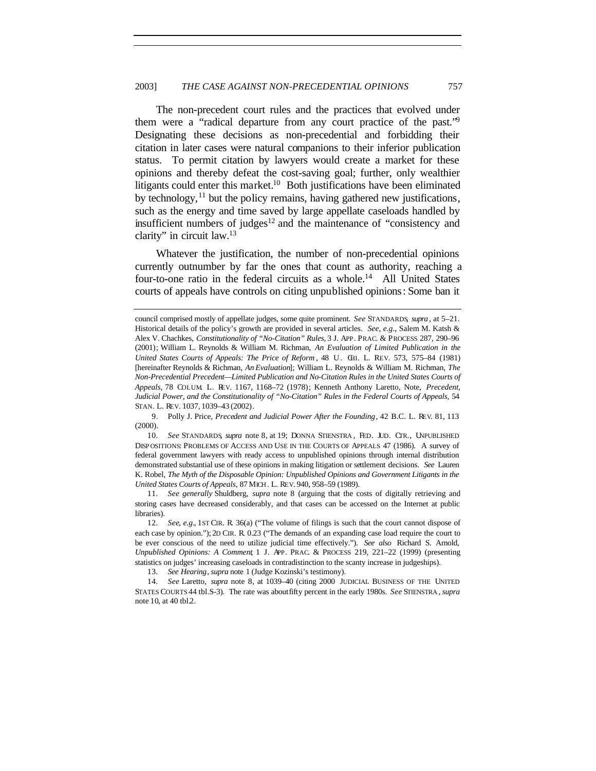The non-precedent court rules and the practices that evolved under them were a "radical departure from any court practice of the past."<sup>9</sup> Designating these decisions as non-precedential and forbidding their citation in later cases were natural companions to their inferior publication status. To permit citation by lawyers would create a market for these opinions and thereby defeat the cost-saving goal; further, only wealthier litigants could enter this market.<sup>10</sup> Both justifications have been eliminated by technology,  $11$  but the policy remains, having gathered new justifications, such as the energy and time saved by large appellate caseloads handled by insufficient numbers of judges<sup>12</sup> and the maintenance of "consistency and clarity" in circuit law.<sup>13</sup>

Whatever the justification, the number of non-precedential opinions currently outnumber by far the ones that count as authority, reaching a four-to-one ratio in the federal circuits as a whole.<sup>14</sup> All United States courts of appeals have controls on citing unpublished opinions: Some ban it

11*. See generally* Shuldberg, *supra* note 8 (arguing that the costs of digitally retrieving and storing cases have decreased considerably, and that cases can be accessed on the Internet at public libraries).

council comprised mostly of appellate judges, some quite prominent. *See* STANDARDS, *supra* , at 5–21. Historical details of the policy's growth are provided in several articles. *See, e.g.*, Salem M. Katsh & Alex V. Chachkes, *Constitutionality of "No-Citation" Rules*, 3 J. APP. PRAC. & PROCESS 287, 290–96 (2001); William L. Reynolds & William M. Richman, *An Evaluation of Limited Publication in the United States Courts of Appeals: The Price of Reform* , 48 U. CHI. L. REV. 573, 575–84 (1981) [hereinafter Reynolds & Richman, *An Evaluation*]; William L. Reynolds & William M. Richman, *The Non-Precedential Precedent—Limited Publication and No-Citation Rules in the United States Courts of Appeals*, 78 COLUM. L. REV. 1167, 1168–72 (1978); Kenneth Anthony Laretto, Note, *Precedent, Judicial Power, and the Constitutionality of "No-Citation" Rules in the Federal Courts of Appeals*, 54 STAN. L. REV. 1037, 1039–43 (2002).

<sup>9.</sup> Polly J. Price, *Precedent and Judicial Power After the Founding*, 42 B.C. L. REV. 81, 113 (2000).

<sup>10</sup>*. See* STANDARDS*, supra* note 8, at 19; DONNA STIENSTRA , FED. JUD. CTR., UNPUBLISHED DISP OSITIONS: PROBLEMS OF ACCESS AND USE IN THE COURTS OF APPEALS 47 (1986). A survey of federal government lawyers with ready access to unpublished opinions through internal distribution demonstrated substantial use of these opinions in making litigation or settlement decisions. *See* Lauren K. Robel, *The Myth of the Disposable Opinion: Unpublished Opinions and Government Litigants in the United States Courts of Appeals*, 87 MICH. L. REV. 940, 958–59 (1989).

<sup>12</sup>*. See, e.g.*, 1ST CIR. R. 36(a) ("The volume of filings is such that the court cannot dispose of each case by opinion."); 2D CIR. R. 0.23 ("The demands of an expanding case load require the court to be ever conscious of the need to utilize judicial time effectively."). *See also* Richard S. Arnold, *Unpublished Opinions: A Comment*, 1 J. APP. PRAC. & PROCESS 219, 221–22 (1999) (presenting statistics on judges' increasing caseloads in contradistinction to the scanty increase in judgeships).

<sup>13</sup>*. See Hearing*, *supra* note 1 (Judge Kozinski's testimony).

<sup>14</sup>*. See* Laretto, *supra* note 8, at 1039–40 (citing 2000 JUDICIAL BUSINESS OF THE UNITED STATES COURTS 44 tbl.S-3). The rate was about fifty percent in the early 1980s. *See* STIENSTRA , *supra* note 10, at 40 tbl.2.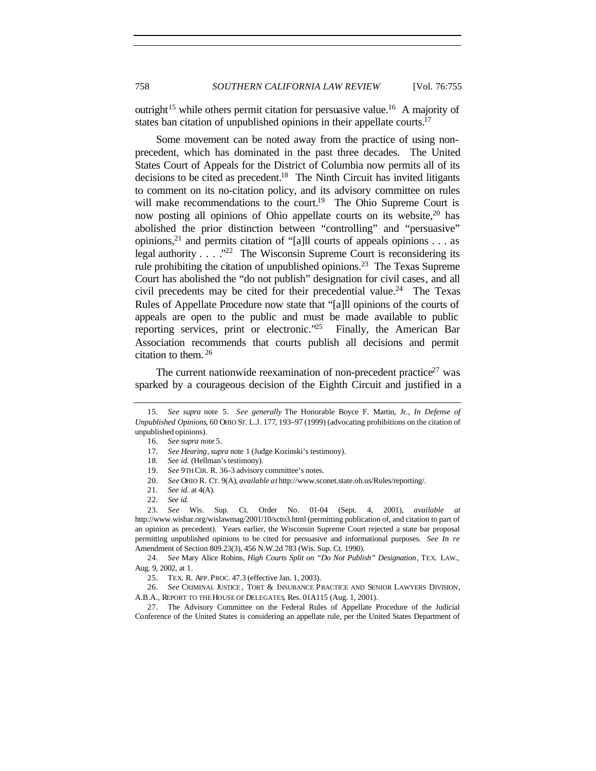outright<sup>15</sup> while others permit citation for persuasive value.<sup>16</sup> A majority of states ban citation of unpublished opinions in their appellate courts.<sup>17</sup>

Some movement can be noted away from the practice of using nonprecedent, which has dominated in the past three decades. The United States Court of Appeals for the District of Columbia now permits all of its decisions to be cited as precedent.<sup>18</sup> The Ninth Circuit has invited litigants to comment on its no-citation policy, and its advisory committee on rules will make recommendations to the court.<sup>19</sup> The Ohio Supreme Court is now posting all opinions of Ohio appellate courts on its website, <sup>20</sup> has abolished the prior distinction between "controlling" and "persuasive" opinions,<sup>21</sup> and permits citation of "[a]ll courts of appeals opinions . . . as legal authority . . . . "<sup>22</sup> The Wisconsin Supreme Court is reconsidering its rule prohibiting the citation of unpublished opinions.<sup>23</sup> The Texas Supreme Court has abolished the "do not publish" designation for civil cases, and all civil precedents may be cited for their precedential value.<sup>24</sup> The Texas Rules of Appellate Procedure now state that "[a]ll opinions of the courts of appeals are open to the public and must be made available to public reporting services, print or electronic."<sup>25</sup> Finally, the American Bar Association recommends that courts publish all decisions and permit citation to them. <sup>26</sup>

The current nationwide reexamination of non-precedent practice<sup>27</sup> was sparked by a courageous decision of the Eighth Circuit and justified in a

24*. See* Mary Alice Robins, *High Courts Split on "Do Not Publish" Designation*, TEX. LAW., Aug. 9, 2002, at 1.

26*. See* CRIMINAL JUSTICE , TORT & INSURANCE PRACTICE AND SENIOR LAWYERS DIVISION, A.B.A., REPORT TO THE HOUSE OF DELEGATES, Res. 01A115 (Aug. 1, 2001).

27. The Advisory Committee on the Federal Rules of Appellate Procedure of the Judicial Conference of the United States is considering an appellate rule, per the United States Department of

<sup>15</sup>*. See supra* note 5. *See generally* The Honorable Boyce F. Martin, Jr*.*, *In Defense of Unpublished Opinions*, 60 OHIO ST. L.J. 177, 193–97 (1999) (advocating prohibitions on the citation of unpublished opinions).

<sup>16</sup>*. See supra* note 5.

<sup>17</sup>*. See Hearing*, *supra* note 1 (Judge Kozinski's testimony).

<sup>18</sup>*. See id.* (Hellman's testimony).

<sup>19</sup>*. See* 9TH CIR. R. 36–3 advisory committee's notes.

<sup>20</sup>*. See* OHIO R. CT. 9(A), *available at* http://www.sconet.state.oh.us/Rules/reporting/.

<sup>21</sup>*. See id.* at 4(A).

<sup>22</sup>*. See id.*

<sup>23</sup>*. See* Wis. Sup. Ct. Order No. 01-04 (Sept. 4, 2001), *available at* http://www.wisbar.org/wislawmag/2001/10/scto3.html (permitting publication of, and citation to part of an opinion as precedent). Years earlier, the Wisconsin Supreme Court rejected a state bar proposal permitting unpublished opinions to be cited for persuasive and informational purposes. *See In re* Amendment of Section 809.23(3), 456 N.W.2d 783 (Wis. Sup. Ct. 1990).

<sup>25.</sup> TEX. R. APP. PROC. 47.3 (effective Jan. 1, 2003).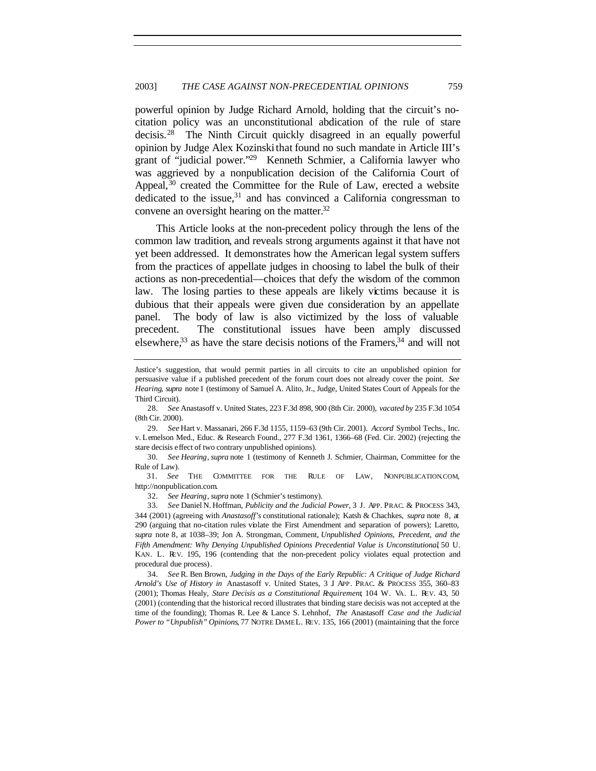powerful opinion by Judge Richard Arnold, holding that the circuit's nocitation policy was an unconstitutional abdication of the rule of stare decisis.<sup>28</sup> The Ninth Circuit quickly disagreed in an equally powerful opinion by Judge Alex Kozinskithat found no such mandate in Article III's grant of "judicial power."<sup>29</sup> Kenneth Schmier, a California lawyer who was aggrieved by a nonpublication decision of the California Court of Appeal,  $30$  created the Committee for the Rule of Law, erected a website dedicated to the issue, $31$  and has convinced a California congressman to convene an oversight hearing on the matter.<sup>32</sup>

This Article looks at the non-precedent policy through the lens of the common law tradition, and reveals strong arguments against it that have not yet been addressed. It demonstrates how the American legal system suffers from the practices of appellate judges in choosing to label the bulk of their actions as non-precedential—choices that defy the wisdom of the common law. The losing parties to these appeals are likely victims because it is dubious that their appeals were given due consideration by an appellate panel. The body of law is also victimized by the loss of valuable precedent. The constitutional issues have been amply discussed elsewhere,  $33$  as have the stare decisis notions of the Framers,  $34$  and will not

30*. See Hearing*, *supra* note 1 (testimony of Kenneth J. Schmier, Chairman, Committee for the Rule of Law).<br>31. See

THE COMMITTEE FOR THE RULE OF LAW, NONPUBLICATION.COM, http://nonpublication.com.

32*. See Hearing*, *supra* note 1 (Schmier's testimony).

34*. See* R. Ben Brown, *Judging in the Days of the Early Republic: A Critique of Judge Richard Arnold's Use of History in* Anastasoff v. United States, 3 J. APP. PRAC. & PROCESS 355, 360–83 (2001); Thomas Healy, *Stare Decisis as a Constitutional Requirement*, 104 W. VA. L. REV. 43, 50 (2001) (contending that the historical record illustrates that binding stare decisis was not accepted at the time of the founding); Thomas R. Lee & Lance S. Lehnhof, *The* Anastasoff *Case and the Judicial Power to "Unpublish" Opinions*, 77 NOTRE DAME L. REV. 135, 166 (2001) (maintaining that the force

Justice's suggestion, that would permit parties in all circuits to cite an unpublished opinion for persuasive value if a published precedent of the forum court does not already cover the point. *See Hearing*, *supra* note 1 (testimony of Samuel A. Alito, Jr., Judge, United States Court of Appeals for the Third Circuit).

<sup>28</sup>*. See* Anastasoff v. United States, 223 F.3d 898, 900 (8th Cir. 2000), *vacated by* 235 F.3d 1054 (8th Cir. 2000).

<sup>29</sup>*. See* Hart v. Massanari, 266 F.3d 1155, 1159–63 (9th Cir. 2001). *Accord* Symbol Techs., Inc. v. Lemelson Med., Educ. & Research Found., 277 F.3d 1361, 1366–68 (Fed. Cir. 2002) (rejecting the stare decisis effect of two contrary unpublished opinions).

<sup>33</sup>*. See* Daniel N. Hoffman, *Publicity and the Judicial Power*, 3 J. APP. PRAC. & PROCESS 343, 344 (2001) (agreeing with *Anastasoff's* constitutional rationale); Katsh & Chachkes, *supra* note 8, at 290 (arguing that no-citation rules violate the First Amendment and separation of powers); Laretto, *supra* note 8, at 1038–39; Jon A. Strongman, Comment, *Unpublished Opinions, Precedent, and the Fifth Amendment: Why Denying Unpublished Opinions Precedential Value is Unconstitutional*, 50 U. KAN. L. REV. 195, 196 (contending that the non-precedent policy violates equal protection and procedural due process).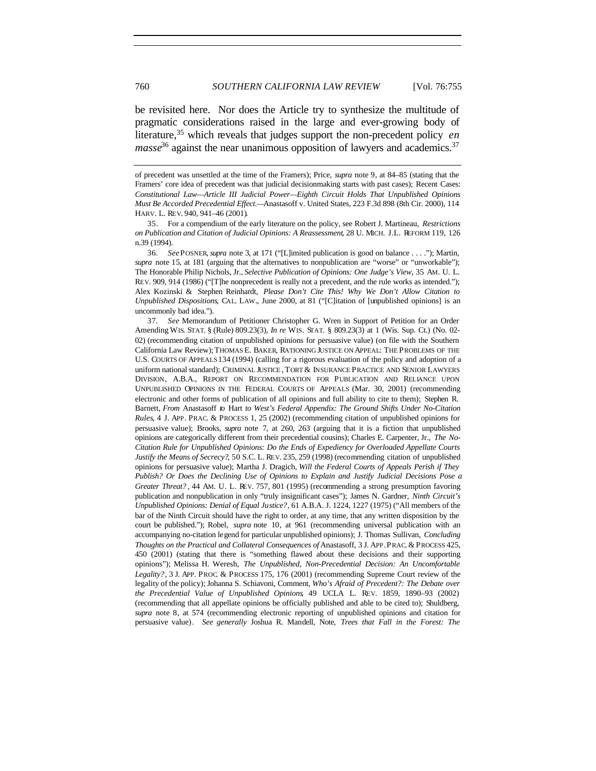be revisited here. Nor does the Article try to synthesize the multitude of pragmatic considerations raised in the large and ever-growing body of literature,<sup>35</sup> which reveals that judges support the non-precedent policy *en masse*<sup>36</sup> against the near unanimous opposition of lawyers and academics.<sup>37</sup>

35. For a compendium of the early literature on the policy, see Robert J. Martineau, *Restrictions on Publication and Citation of Judicial Opinions: A Reassessment*, 28 U. MICH. J.L. REFORM 119, 126 n.39 (1994).

36*. See*POSNER, *supra* note 3, at 171 ("[L]imited publication is good on balance . . . ."); Martin, *supra* note 15, at 181 (arguing that the alternatives to nonpublication are "worse" or "unworkable"); The Honorable Philip Nichols, Jr., *Selective Publication of Opinions: One Judge's View*, 35 AM. U. L. REV. 909, 914 (1986) ("[T]he nonprecedent is really not a precedent, and the rule works as intended."); Alex Kozinski & Stephen Reinhardt, *Please Don't Cite This! Why We Don't Allow Citation to Unpublished Dispositions*, CAL. LAW., June 2000, at 81 ("[C]itation of [unpublished opinions] is an uncommonly bad idea.").

37*. See* Memorandum of Petitioner Christopher G. Wren in Support of Petition for an Order Amending WIS. STAT. § (Rule) 809.23(3), *In re* WIS. STAT. § 809.23(3) at 1 (Wis. Sup. Ct.) (No. 02- 02) (recommending citation of unpublished opinions for persuasive value) (on file with the Southern California Law Review); THOMAS E. BAKER, RATIONING JUSTICE ON APPEAL: THE PROBLEMS OF THE U.S. COURTS OF APPEALS 134 (1994) (calling for a rigorous evaluation of the policy and adoption of a uniform national standard); CRIMINAL JUSTICE , TORT & INSURANCE PRACTICE AND SENIOR LAWYERS DIVISION, A.B.A., REPORT ON RECOMMENDATION FOR PUBLICATION AND RELIANCE UPON UNPUBLISHED OPINIONS IN THE FEDERAL COURTS OF APPEALS (Mar. 30, 2001) (recommending electronic and other forms of publication of all opinions and full ability to cite to them); Stephen R. Barnett, *From* Anastasoff *to* Hart *to West's Federal Appendix: The Ground Shifts Under No-Citation Rules*, 4 J. APP. PRAC. & PROCESS 1, 25 (2002) (recommending citation of unpublished opinions for persuasive value); Brooks, *supra* note 7, at 260, 263 (arguing that it is a fiction that unpublished opinions are categorically different from their precedential cousins); Charles E. Carpenter, Jr., *The No-Citation Rule for Unpublished Opinions: Do the Ends of Expediency for Overloaded Appellate Courts Justify the Means of Secrecy?*, 50 S.C. L. REV. 235, 259 (1998) (recommending citation of unpublished opinions for persuasive value); Martha J. Dragich, *Will the Federal Courts of Appeals Perish if They Publish? Or Does the Declining Use of Opinions to Explain and Justify Judicial Decisions Pose a Greater Threat?* , 44 AM. U. L. REV. 757, 801 (1995) (recommending a strong presumption favoring publication and nonpublication in only "truly insignificant cases"); James N. Gardner, *Ninth Circuit's Unpublished Opinions: Denial of Equal Justice?*, 61 A.B.A. J. 1224, 1227 (1975) ("All members of the bar of the Ninth Circuit should have the right to order, at any time, that any written disposition by the court be published."); Robel, *supra* note 10, at 961 (recommending universal publication with an accompanying no-citation legend for particular unpublished opinions); J. Thomas Sullivan, *Concluding Thoughts on the Practical and Collateral Consequences of* Anastasoff, 3 J. APP. PRAC. & PROCESS 425, 450 (2001) (stating that there is "something flawed about these decisions and their supporting opinions"); Melissa H. Weresh, *The Unpublished, Non-Precedential Decision: An Uncomfortable Legality?*, 3 J. APP. PROC. & PROCESS 175, 176 (2001) (recommending Supreme Court review of the legality of the policy); Johanna S. Schiavoni, Comment, *Who's Afraid of Precedent?: The Debate over the Precedential Value of Unpublished Opinions*, 49 UCLA L. REV. 1859, 1890–93 (2002) (recommending that all appellate opinions be officially published and able to be cited to); Shuldberg, *supra* note 8, at 574 (recommending electronic reporting of unpublished opinions and citation for persuasive value). *See generally* Joshua R. Mandell, Note, *Trees that Fall in the Forest: The*

of precedent was unsettled at the time of the Framers); Price, *supra* note 9, at 84–85 (stating that the Framers' core idea of precedent was that judicial decisionmaking starts with past cases); Recent Cases: *Constitutional Law—Article III Judicial Power—Eighth Circuit Holds That Unpublished Opinions Must Be Accorded Precedential Effect.—*Anastasoff v. United States, 223 F.3d 898 (8th Cir. 2000), 114 HARV. L. REV. 940, 941–46 (2001).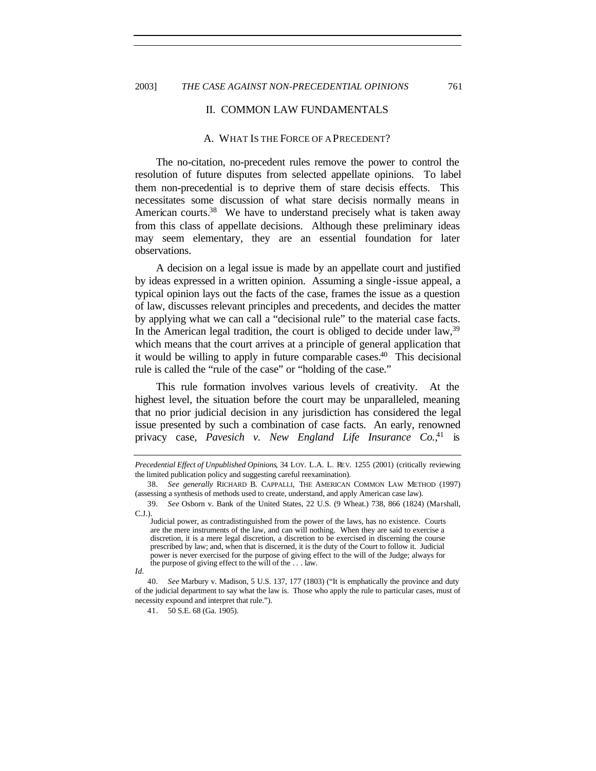#### II. COMMON LAW FUNDAMENTALS

#### A. WHAT IS THE FORCE OF A PRECEDENT?

The no-citation, no-precedent rules remove the power to control the resolution of future disputes from selected appellate opinions. To label them non-precedential is to deprive them of stare decisis effects. This necessitates some discussion of what stare decisis normally means in American courts.<sup>38</sup> We have to understand precisely what is taken away from this class of appellate decisions. Although these preliminary ideas may seem elementary, they are an essential foundation for later observations.

A decision on a legal issue is made by an appellate court and justified by ideas expressed in a written opinion. Assuming a single -issue appeal, a typical opinion lays out the facts of the case, frames the issue as a question of law, discusses relevant principles and precedents, and decides the matter by applying what we can call a "decisional rule" to the material case facts. In the American legal tradition, the court is obliged to decide under law,  $39$ which means that the court arrives at a principle of general application that it would be willing to apply in future comparable cases.<sup>40</sup> This decisional rule is called the "rule of the case" or "holding of the case."

This rule formation involves various levels of creativity. At the highest level, the situation before the court may be unparalleled, meaning that no prior judicial decision in any jurisdiction has considered the legal issue presented by such a combination of case facts. An early, renowned privacy case, *Pavesich v. New England Life Insurance Co.*, <sup>41</sup> is

*Precedential Effect of Unpublished Opinions*, 34 LOY. L.A. L. REV. 1255 (2001) (critically reviewing the limited publication policy and suggesting careful reexamination).

<sup>38</sup>*. See generally* RICHARD B. CAPPALLI, THE AMERICAN COMMON LAW METHOD (1997) (assessing a synthesis of methods used to create, understand, and apply American case law).

<sup>39</sup>*. See* Osborn v. Bank of the United States, 22 U.S. (9 Wheat.) 738, 866 (1824) (Marshall, C.J.).

Judicial power, as contradistinguished from the power of the laws, has no existence. Courts are the mere instruments of the law, and can will nothing. When they are said to exercise a discretion, it is a mere legal discretion, a discretion to be exercised in discerning the course prescribed by law; and, when that is discerned, it is the duty of the Court to follow it. Judicial power is never exercised for the purpose of giving effect to the will of the Judge; always for the purpose of giving effect to the will of the . . . law.

*Id.*

<sup>40</sup>*. See* Marbury v. Madison, 5 U.S. 137, 177 (1803) ("It is emphatically the province and duty of the judicial department to say what the law is. Those who apply the rule to particular cases, must of necessity expound and interpret that rule.").

<sup>41.</sup> 50 S.E. 68 (Ga. 1905).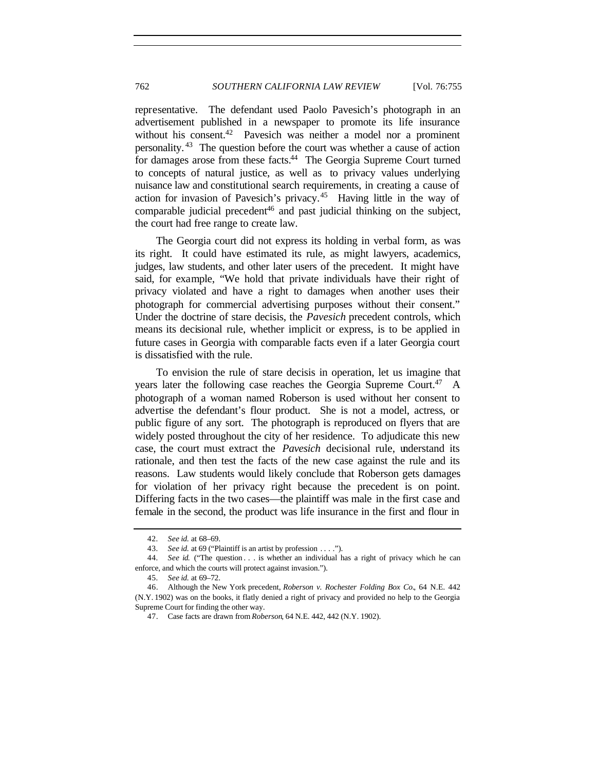representative. The defendant used Paolo Pavesich's photograph in an advertisement published in a newspaper to promote its life insurance without his consent.<sup>42</sup> Pavesich was neither a model nor a prominent personality. <sup>43</sup> The question before the court was whether a cause of action for damages arose from these facts.<sup>44</sup> The Georgia Supreme Court turned to concepts of natural justice, as well as to privacy values underlying nuisance law and constitutional search requirements, in creating a cause of action for invasion of Pavesich's privacy.<sup>45</sup> Having little in the way of comparable judicial precedent<sup>46</sup> and past judicial thinking on the subject, the court had free range to create law.

The Georgia court did not express its holding in verbal form, as was its right. It could have estimated its rule, as might lawyers, academics, judges, law students, and other later users of the precedent. It might have said, for example, "We hold that private individuals have their right of privacy violated and have a right to damages when another uses their photograph for commercial advertising purposes without their consent." Under the doctrine of stare decisis, the *Pavesich* precedent controls, which means its decisional rule, whether implicit or express, is to be applied in future cases in Georgia with comparable facts even if a later Georgia court is dissatisfied with the rule.

To envision the rule of stare decisis in operation, let us imagine that years later the following case reaches the Georgia Supreme Court.<sup>47</sup> A photograph of a woman named Roberson is used without her consent to advertise the defendant's flour product. She is not a model, actress, or public figure of any sort. The photograph is reproduced on flyers that are widely posted throughout the city of her residence. To adjudicate this new case, the court must extract the *Pavesich* decisional rule, understand its rationale, and then test the facts of the new case against the rule and its reasons. Law students would likely conclude that Roberson gets damages for violation of her privacy right because the precedent is on point. Differing facts in the two cases—the plaintiff was male in the first case and female in the second, the product was life insurance in the first and flour in

<sup>42</sup>*. See id.* at 68–69.

<sup>43</sup>*. See id.* at 69 ("Plaintiff is an artist by profession . . . .").

<sup>44</sup>*. See id.* ("The question . . . is whether an individual has a right of privacy which he can enforce, and which the courts will protect against invasion.").

<sup>45</sup>*. See id.* at 69–72.

<sup>46.</sup> Although the New York precedent, *Roberson v. Rochester Folding Box Co.*, 64 N.E. 442 (N.Y. 1902) was on the books, it flatly denied a right of privacy and provided no help to the Georgia Supreme Court for finding the other way.

<sup>47.</sup> Case facts are drawn from *Roberson*, 64 N.E. 442, 442 (N.Y. 1902).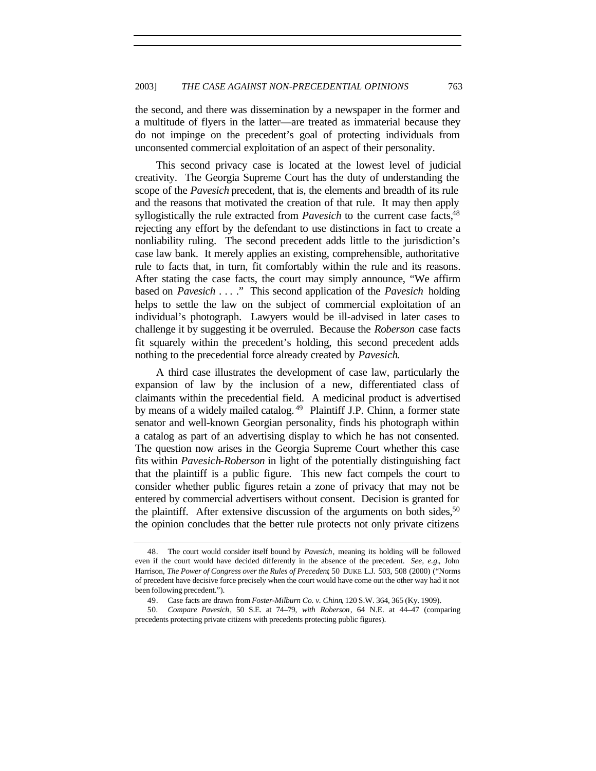the second, and there was dissemination by a newspaper in the former and a multitude of flyers in the latter—are treated as immaterial because they do not impinge on the precedent's goal of protecting individuals from unconsented commercial exploitation of an aspect of their personality.

This second privacy case is located at the lowest level of judicial creativity. The Georgia Supreme Court has the duty of understanding the scope of the *Pavesich* precedent, that is, the elements and breadth of its rule and the reasons that motivated the creation of that rule. It may then apply syllogistically the rule extracted from *Pavesich* to the current case facts,<sup>48</sup> rejecting any effort by the defendant to use distinctions in fact to create a nonliability ruling. The second precedent adds little to the jurisdiction's case law bank. It merely applies an existing, comprehensible, authoritative rule to facts that, in turn, fit comfortably within the rule and its reasons. After stating the case facts, the court may simply announce, "We affirm based on *Pavesich* . . . ." This second application of the *Pavesich* holding helps to settle the law on the subject of commercial exploitation of an individual's photograph. Lawyers would be ill-advised in later cases to challenge it by suggesting it be overruled. Because the *Roberson* case facts fit squarely within the precedent's holding, this second precedent adds nothing to the precedential force already created by *Pavesich*.

A third case illustrates the development of case law, particularly the expansion of law by the inclusion of a new, differentiated class of claimants within the precedential field. A medicinal product is advertised by means of a widely mailed catalog.<sup>49</sup> Plaintiff J.P. Chinn, a former state senator and well-known Georgian personality, finds his photograph within a catalog as part of an advertising display to which he has not consented. The question now arises in the Georgia Supreme Court whether this case fits within *Pavesich*-*Roberson* in light of the potentially distinguishing fact that the plaintiff is a public figure. This new fact compels the court to consider whether public figures retain a zone of privacy that may not be entered by commercial advertisers without consent. Decision is granted for the plaintiff. After extensive discussion of the arguments on both sides,  $50$ the opinion concludes that the better rule protects not only private citizens

<sup>48.</sup> The court would consider itself bound by *Pavesich*, meaning its holding will be followed even if the court would have decided differently in the absence of the precedent. *See, e.g.*, John Harrison, *The Power of Congress over the Rules of Precedent*, 50 DUKE L.J. 503, 508 (2000) ("Norms of precedent have decisive force precisely when the court would have come out the other way had it not been following precedent.").

<sup>49.</sup> Case facts are drawn from *Foster-Milburn Co. v. Chinn*, 120 S.W. 364, 365 (Ky. 1909).

<sup>50</sup>*. Compare Pavesich*, 50 S.E. at 74–79, *with Roberson*, 64 N.E. at 44–47 (comparing precedents protecting private citizens with precedents protecting public figures).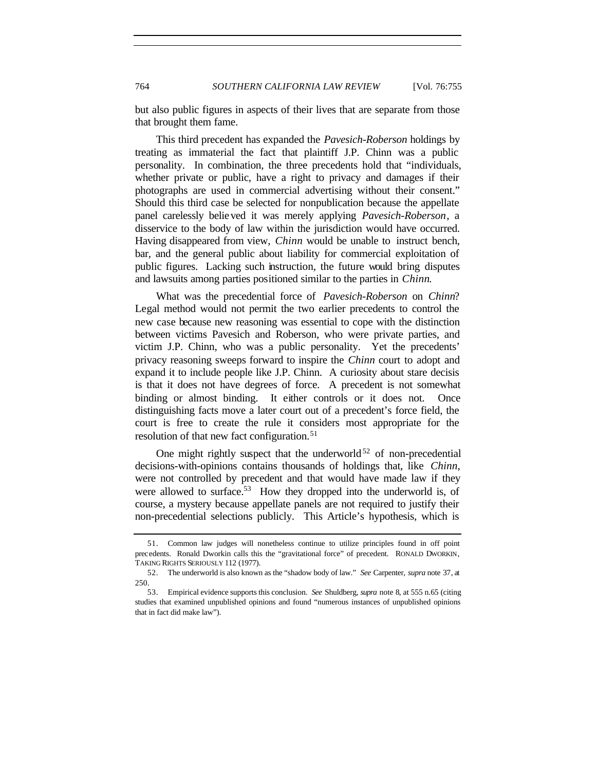but also public figures in aspects of their lives that are separate from those that brought them fame.

This third precedent has expanded the *Pavesich-Roberson* holdings by treating as immaterial the fact that plaintiff J.P. Chinn was a public personality. In combination, the three precedents hold that "individuals, whether private or public, have a right to privacy and damages if their photographs are used in commercial advertising without their consent." Should this third case be selected for nonpublication because the appellate panel carelessly believed it was merely applying *Pavesich-Roberson*, a disservice to the body of law within the jurisdiction would have occurred. Having disappeared from view, *Chinn* would be unable to instruct bench, bar, and the general public about liability for commercial exploitation of public figures. Lacking such instruction, the future would bring disputes and lawsuits among parties positioned similar to the parties in *Chinn*.

What was the precedential force of *Pavesich-Roberson* on *Chinn*? Legal method would not permit the two earlier precedents to control the new case because new reasoning was essential to cope with the distinction between victims Pavesich and Roberson, who were private parties, and victim J.P. Chinn, who was a public personality. Yet the precedents' privacy reasoning sweeps forward to inspire the *Chinn* court to adopt and expand it to include people like J.P. Chinn. A curiosity about stare decisis is that it does not have degrees of force. A precedent is not somewhat binding or almost binding. It either controls or it does not. Once distinguishing facts move a later court out of a precedent's force field, the court is free to create the rule it considers most appropriate for the resolution of that new fact configuration.<sup>51</sup>

One might rightly suspect that the underworld<sup>52</sup> of non-precedential decisions-with-opinions contains thousands of holdings that, like *Chinn*, were not controlled by precedent and that would have made law if they were allowed to surface.<sup>53</sup> How they dropped into the underworld is, of course, a mystery because appellate panels are not required to justify their non-precedential selections publicly. This Article's hypothesis, which is

<sup>51.</sup> Common law judges will nonetheless continue to utilize principles found in off point precedents. Ronald Dworkin calls this the "gravitational force" of precedent. RONALD DWORKIN, TAKING RIGHTS SERIOUSLY 112 (1977).

<sup>52.</sup> The underworld is also known as the "shadow body of law." *See* Carpenter, *supra* note 37, at 250.

<sup>53.</sup> Empirical evidence supports this conclusion. *See* Shuldberg, *supra* note 8, at 555 n.65 (citing studies that examined unpublished opinions and found "numerous instances of unpublished opinions that in fact did make law").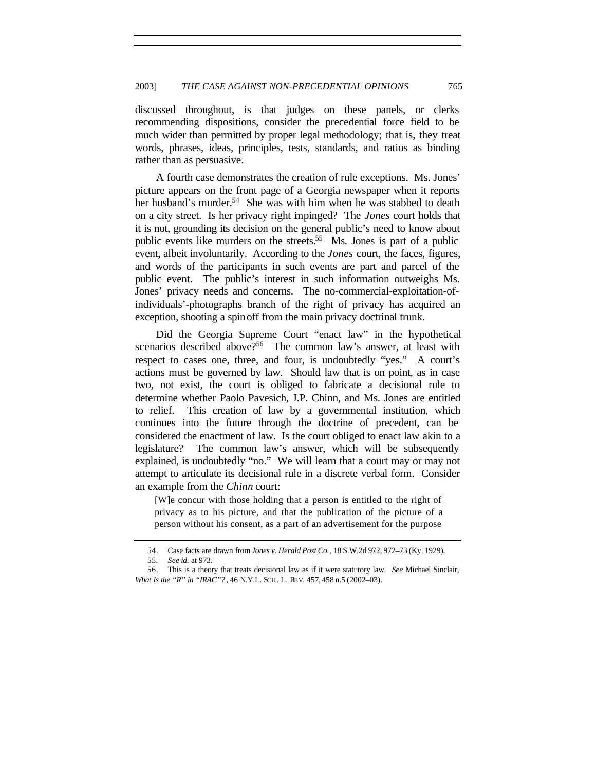discussed throughout, is that judges on these panels, or clerks recommending dispositions, consider the precedential force field to be much wider than permitted by proper legal methodology; that is, they treat words, phrases, ideas, principles, tests, standards, and ratios as binding rather than as persuasive.

A fourth case demonstrates the creation of rule exceptions. Ms. Jones' picture appears on the front page of a Georgia newspaper when it reports her husband's murder.<sup>54</sup> She was with him when he was stabbed to death on a city street. Is her privacy right impinged? The *Jones* court holds that it is not, grounding its decision on the general public's need to know about public events like murders on the streets.<sup>55</sup> Ms. Jones is part of a public event, albeit involuntarily. According to the *Jones* court, the faces, figures, and words of the participants in such events are part and parcel of the public event. The public's interest in such information outweighs Ms. Jones' privacy needs and concerns. The no-commercial-exploitation-ofindividuals'-photographs branch of the right of privacy has acquired an exception, shooting a spinoff from the main privacy doctrinal trunk.

Did the Georgia Supreme Court "enact law" in the hypothetical scenarios described above?<sup>56</sup> The common law's answer, at least with respect to cases one, three, and four, is undoubtedly "yes." A court's actions must be governed by law. Should law that is on point, as in case two, not exist, the court is obliged to fabricate a decisional rule to determine whether Paolo Pavesich, J.P. Chinn, and Ms. Jones are entitled to relief. This creation of law by a governmental institution, which continues into the future through the doctrine of precedent, can be considered the enactment of law. Is the court obliged to enact law akin to a legislature? The common law's answer, which will be subsequently explained, is undoubtedly "no." We will learn that a court may or may not attempt to articulate its decisional rule in a discrete verbal form. Consider an example from the *Chinn* court:

[W]e concur with those holding that a person is entitled to the right of privacy as to his picture, and that the publication of the picture of a person without his consent, as a part of an advertisement for the purpose

<sup>54.</sup> Case facts are drawn from *Jones v. Herald Post Co.*, 18 S.W.2d 972, 972–73 (Ky. 1929).

<sup>55</sup>*. See id.* at 973.

<sup>56.</sup> This is a theory that treats decisional law as if it were statutory law. *See* Michael Sinclair, *What Is the "R" in "IRAC"?* , 46 N.Y.L. SCH. L. REV. 457, 458 n.5 (2002–03).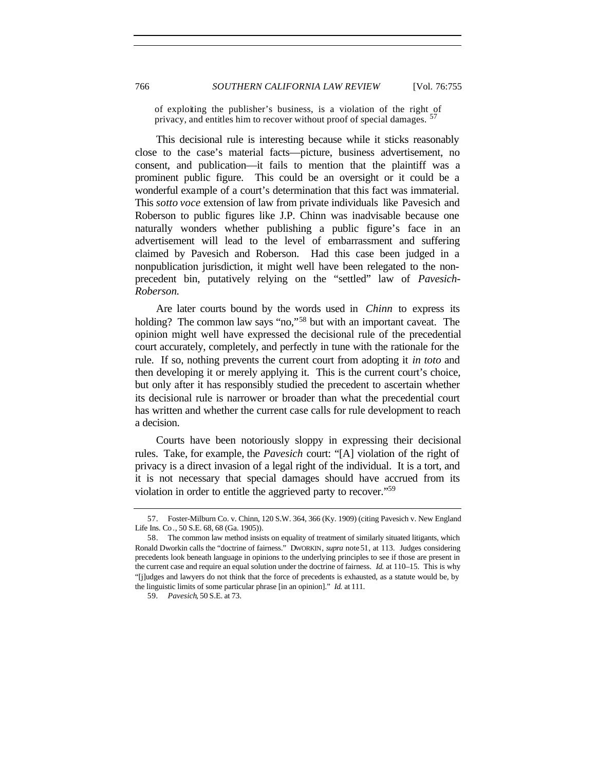of exploiting the publisher's business, is a violation of the right of privacy, and entitles him to recover without proof of special damages.  $57$ 

This decisional rule is interesting because while it sticks reasonably close to the case's material facts—picture, business advertisement, no consent, and publication—it fails to mention that the plaintiff was a prominent public figure. This could be an oversight or it could be a wonderful example of a court's determination that this fact was immaterial. This *sotto voce* extension of law from private individuals like Pavesich and Roberson to public figures like J.P. Chinn was inadvisable because one naturally wonders whether publishing a public figure's face in an advertisement will lead to the level of embarrassment and suffering claimed by Pavesich and Roberson. Had this case been judged in a nonpublication jurisdiction, it might well have been relegated to the nonprecedent bin, putatively relying on the "settled" law of *Pavesich-Roberson.*

Are later courts bound by the words used in *Chinn* to express its holding? The common law says "no,"<sup>58</sup> but with an important caveat. The opinion might well have expressed the decisional rule of the precedential court accurately, completely, and perfectly in tune with the rationale for the rule. If so, nothing prevents the current court from adopting it *in toto* and then developing it or merely applying it. This is the current court's choice, but only after it has responsibly studied the precedent to ascertain whether its decisional rule is narrower or broader than what the precedential court has written and whether the current case calls for rule development to reach a decision.

Courts have been notoriously sloppy in expressing their decisional rules. Take, for example, the *Pavesich* court: "[A] violation of the right of privacy is a direct invasion of a legal right of the individual. It is a tort, and it is not necessary that special damages should have accrued from its violation in order to entitle the aggrieved party to recover."<sup>59</sup>

<sup>57.</sup> Foster-Milburn Co. v. Chinn, 120 S.W. 364, 366 (Ky. 1909) (citing Pavesich v. New England Life Ins. Co *.*, 50 S.E. 68, 68 (Ga. 1905)).

<sup>58.</sup> The common law method insists on equality of treatment of similarly situated litigants, which Ronald Dworkin calls the "doctrine of fairness." DWORKIN, *supra* note 51, at 113. Judges considering precedents look beneath language in opinions to the underlying principles to see if those are present in the current case and require an equal solution under the doctrine of fairness. *Id.* at 110–15. This is why "[j]udges and lawyers do not think that the force of precedents is exhausted, as a statute would be, by the linguistic limits of some particular phrase [in an opinion]." *Id.* at 111.

<sup>59</sup>*. Pavesich*, 50 S.E. at 73.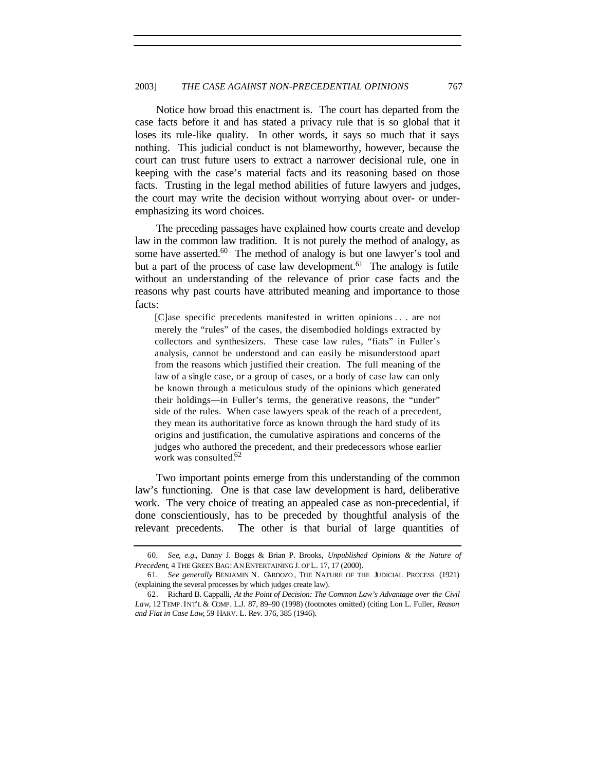Notice how broad this enactment is. The court has departed from the case facts before it and has stated a privacy rule that is so global that it loses its rule-like quality. In other words, it says so much that it says nothing. This judicial conduct is not blameworthy, however, because the court can trust future users to extract a narrower decisional rule, one in keeping with the case's material facts and its reasoning based on those facts. Trusting in the legal method abilities of future lawyers and judges, the court may write the decision without worrying about over- or underemphasizing its word choices.

The preceding passages have explained how courts create and develop law in the common law tradition. It is not purely the method of analogy, as some have asserted.<sup>60</sup> The method of analogy is but one lawyer's tool and but a part of the process of case law development.<sup>61</sup> The analogy is futile without an understanding of the relevance of prior case facts and the reasons why past courts have attributed meaning and importance to those facts:

[C]ase specific precedents manifested in written opinions . . . are not merely the "rules" of the cases, the disembodied holdings extracted by collectors and synthesizers. These case law rules, "fiats" in Fuller's analysis, cannot be understood and can easily be misunderstood apart from the reasons which justified their creation. The full meaning of the law of a single case, or a group of cases, or a body of case law can only be known through a meticulous study of the opinions which generated their holdings—in Fuller's terms, the generative reasons, the "under" side of the rules. When case lawyers speak of the reach of a precedent, they mean its authoritative force as known through the hard study of its origins and justification, the cumulative aspirations and concerns of the judges who authored the precedent, and their predecessors whose earlier work was consulted.<sup>62</sup>

Two important points emerge from this understanding of the common law's functioning. One is that case law development is hard, deliberative work. The very choice of treating an appealed case as non-precedential, if done conscientiously, has to be preceded by thoughtful analysis of the relevant precedents. The other is that burial of large quantities of

<sup>60</sup>*. See, e.g.*, Danny J. Boggs & Brian P. Brooks, *Unpublished Opinions & the Nature of Precedent*, 4 THE GREEN BAG: AN ENTERTAINING J. OF L. 17, 17 (2000).

<sup>61</sup>*. See generally* BENJAMIN N. CARDOZO , THE NATURE OF THE JUDICIAL PROCESS (1921) (explaining the several processes by which judges create law).

<sup>62.</sup> Richard B. Cappalli, *At the Point of Decision: The Common Law's Advantage over the Civil Law*, 12 TEMP. INT'L & COMP. L.J. 87, 89–90 (1998) (footnotes omitted) (citing Lon L. Fuller, *Reason and Fiat in Case Law*, 59 HARV. L. Rev. 376, 385 (1946).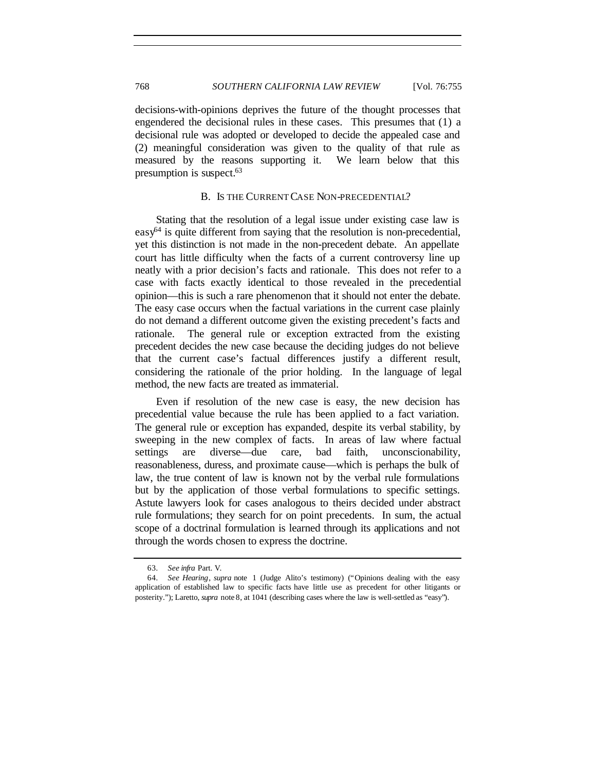decisions-with-opinions deprives the future of the thought processes that engendered the decisional rules in these cases. This presumes that (1) a decisional rule was adopted or developed to decide the appealed case and (2) meaningful consideration was given to the quality of that rule as measured by the reasons supporting it. We learn below that this presumption is suspect.<sup>63</sup>

## B. IS THE CURRENT CASE NON-PRECEDENTIAL?

Stating that the resolution of a legal issue under existing case law is  $easy<sup>64</sup>$  is quite different from saying that the resolution is non-precedential, yet this distinction is not made in the non-precedent debate. An appellate court has little difficulty when the facts of a current controversy line up neatly with a prior decision's facts and rationale. This does not refer to a case with facts exactly identical to those revealed in the precedential opinion—this is such a rare phenomenon that it should not enter the debate. The easy case occurs when the factual variations in the current case plainly do not demand a different outcome given the existing precedent's facts and rationale. The general rule or exception extracted from the existing precedent decides the new case because the deciding judges do not believe that the current case's factual differences justify a different result, considering the rationale of the prior holding. In the language of legal method, the new facts are treated as immaterial.

Even if resolution of the new case is easy, the new decision has precedential value because the rule has been applied to a fact variation. The general rule or exception has expanded, despite its verbal stability, by sweeping in the new complex of facts. In areas of law where factual settings are diverse—due care, bad faith, unconscionability, reasonableness, duress, and proximate cause—which is perhaps the bulk of law, the true content of law is known not by the verbal rule formulations but by the application of those verbal formulations to specific settings. Astute lawyers look for cases analogous to theirs decided under abstract rule formulations; they search for on point precedents. In sum, the actual scope of a doctrinal formulation is learned through its applications and not through the words chosen to express the doctrine.

<sup>63</sup>*. See infra* Part. V.

<sup>64</sup>*. See Hearing*, *supra* note 1 (Judge Alito's testimony) ("Opinions dealing with the easy application of established law to specific facts have little use as precedent for other litigants or posterity."); Laretto, *supra* note 8, at 1041 (describing cases where the law is well-settled as "easy").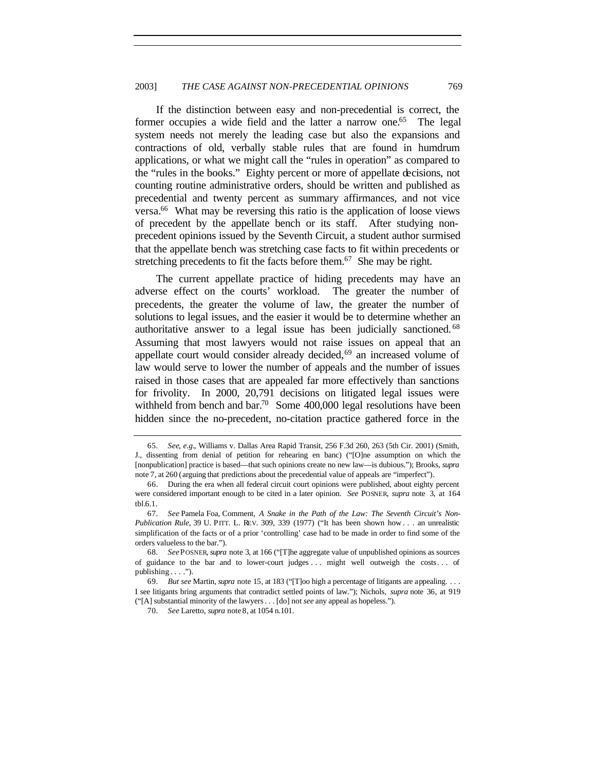If the distinction between easy and non-precedential is correct, the former occupies a wide field and the latter a narrow one.<sup>65</sup> The legal system needs not merely the leading case but also the expansions and contractions of old, verbally stable rules that are found in humdrum applications, or what we might call the "rules in operation" as compared to the "rules in the books." Eighty percent or more of appellate decisions, not counting routine administrative orders, should be written and published as precedential and twenty percent as summary affirmances, and not vice versa.<sup>66</sup> What may be reversing this ratio is the application of loose views of precedent by the appellate bench or its staff. After studying nonprecedent opinions issued by the Seventh Circuit, a student author surmised that the appellate bench was stretching case facts to fit within precedents or stretching precedents to fit the facts before them.<sup>67</sup> She may be right.

The current appellate practice of hiding precedents may have an adverse effect on the courts' workload. The greater the number of precedents, the greater the volume of law, the greater the number of solutions to legal issues, and the easier it would be to determine whether an authoritative answer to a legal issue has been judicially sanctioned. <sup>68</sup> Assuming that most lawyers would not raise issues on appeal that an appellate court would consider already decided,<sup>69</sup> an increased volume of law would serve to lower the number of appeals and the number of issues raised in those cases that are appealed far more effectively than sanctions for frivolity. In 2000, 20,791 decisions on litigated legal issues were withheld from bench and bar.<sup>70</sup> Some  $400,000$  legal resolutions have been hidden since the no-precedent, no-citation practice gathered force in the

<sup>65</sup>*. See, e.g.*, Williams v. Dallas Area Rapid Transit, 256 F.3d 260, 263 (5th Cir. 2001) (Smith, J., dissenting from denial of petition for rehearing en banc) ("[O]ne assumption on which the [nonpublication] practice is based—that such opinions create no new law—is dubious."); Brooks, *supra* note 7, at 260 (arguing that predictions about the precedential value of appeals are "imperfect").

<sup>66.</sup> During the era when all federal circuit court opinions were published, about eighty percent were considered important enough to be cited in a later opinion. *See* POSNER, *supra* note 3, at 164 tbl.6.1.

<sup>67</sup>*. See* Pamela Foa, Comment, *A Snake in the Path of the Law: The Seventh Circuit's Non-Publication Rule*, 39 U. PITT. L. REV. 309, 339 (1977) ("It has been shown how . . . an unrealistic simplification of the facts or of a prior 'controlling' case had to be made in order to find some of the orders valueless to the bar.").

<sup>68</sup>*. See*POSNER, *supra* note 3, at 166 ("[T]he aggregate value of unpublished opinions as sources of guidance to the bar and to lower-court judges . . . might well outweigh the costs . . . of publishing . . . .").

<sup>69</sup>*. But see* Martin, *supra* note 15, at 183 ("[T]oo high a percentage of litigants are appealing. . . . I see litigants bring arguments that contradict settled points of law."); Nichols, *supra* note 36, at 919 ("[A] substantial minority of the lawyers . . . [do] not *see* any appeal as hopeless.").

<sup>70</sup>*. See* Laretto, *supra* note 8, at 1054 n.101.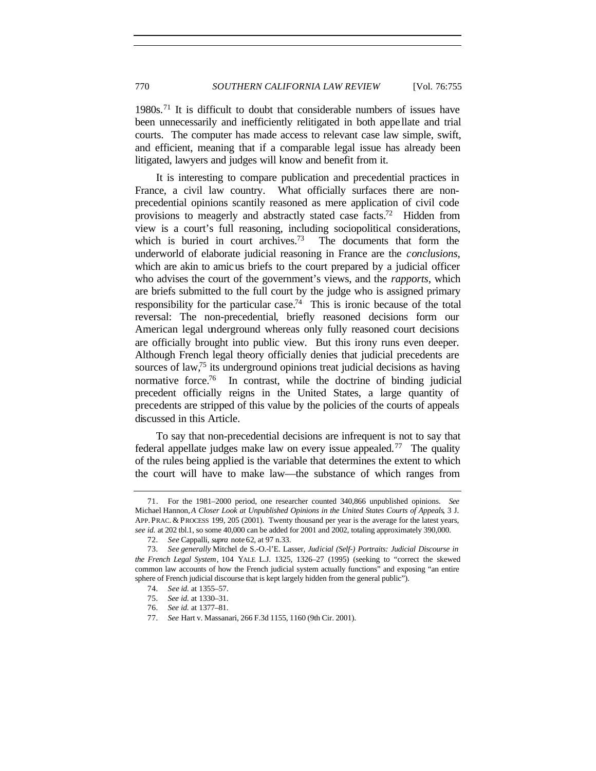1980s.<sup>71</sup> It is difficult to doubt that considerable numbers of issues have been unnecessarily and inefficiently relitigated in both appe llate and trial courts. The computer has made access to relevant case law simple, swift, and efficient, meaning that if a comparable legal issue has already been litigated, lawyers and judges will know and benefit from it.

It is interesting to compare publication and precedential practices in France, a civil law country. What officially surfaces there are nonprecedential opinions scantily reasoned as mere application of civil code provisions to meagerly and abstractly stated case facts.<sup>72</sup> Hidden from view is a court's full reasoning, including sociopolitical considerations, which is buried in court archives.<sup>73</sup> The documents that form the underworld of elaborate judicial reasoning in France are the *conclusions*, which are akin to amicus briefs to the court prepared by a judicial officer who advises the court of the government's views, and the *rapports*, which are briefs submitted to the full court by the judge who is assigned primary responsibility for the particular case.<sup>74</sup> This is ironic because of the total reversal: The non-precedential, briefly reasoned decisions form our American legal underground whereas only fully reasoned court decisions are officially brought into public view. But this irony runs even deeper. Although French legal theory officially denies that judicial precedents are sources of  $\text{law}^{75}$  its underground opinions treat judicial decisions as having normative force.<sup>76</sup> In contrast, while the doctrine of binding judicial precedent officially reigns in the United States, a large quantity of precedents are stripped of this value by the policies of the courts of appeals discussed in this Article.

To say that non-precedential decisions are infrequent is not to say that federal appellate judges make law on every issue appealed.<sup>77</sup> The quality of the rules being applied is the variable that determines the extent to which the court will have to make law—the substance of which ranges from

<sup>71.</sup> For the 1981–2000 period, one researcher counted 340,866 unpublished opinions. *See* Michael Hannon, *A Closer Look at Unpublished Opinions in the United States Courts of Appeals*, 3 J. APP. PRAC. & PROCESS 199, 205 (2001). Twenty thousand per year is the average for the latest years, *see id.* at 202 tbl.1, so some 40,000 can be added for 2001 and 2002, totaling approximately 390,000.

<sup>72</sup>*. See* Cappalli, *supra* note 62, at 97 n.33.

<sup>73</sup>*. See generally* Mitchel de S.-O.-l'E. Lasser, *Judicial (Self-) Portraits: Judicial Discourse in the French Legal System*, 104 YALE L.J. 1325, 1326–27 (1995) (seeking to "correct the skewed common law accounts of how the French judicial system actually functions" and exposing "an entire sphere of French judicial discourse that is kept largely hidden from the general public").

<sup>74</sup>*. See id.* at 1355–57.

<sup>75</sup>*. See id.* at 1330–31.

<sup>76</sup>*. See id.* at 1377–81.

<sup>77</sup>*. See* Hart v. Massanari, 266 F.3d 1155, 1160 (9th Cir. 2001).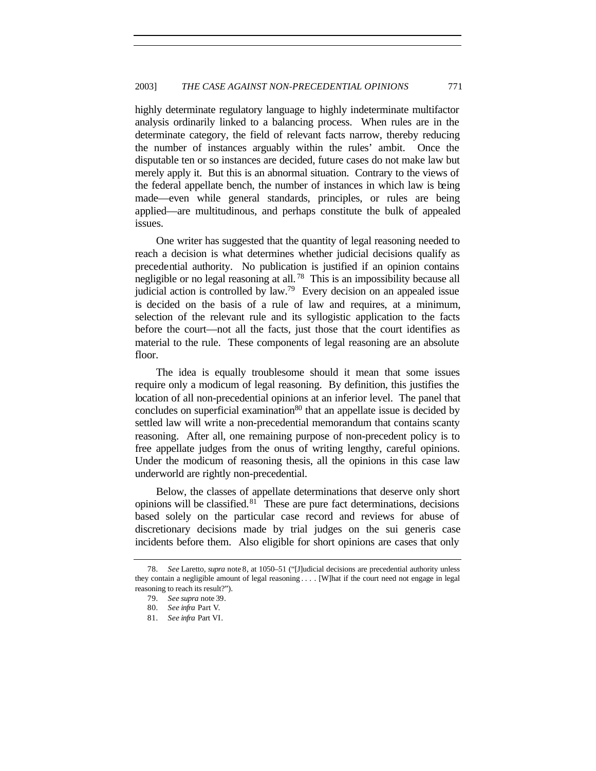highly determinate regulatory language to highly indeterminate multifactor analysis ordinarily linked to a balancing process. When rules are in the determinate category, the field of relevant facts narrow, thereby reducing the number of instances arguably within the rules' ambit. Once the disputable ten or so instances are decided, future cases do not make law but merely apply it. But this is an abnormal situation. Contrary to the views of the federal appellate bench, the number of instances in which law is being made—even while general standards, principles, or rules are being applied—are multitudinous, and perhaps constitute the bulk of appealed issues.

One writer has suggested that the quantity of legal reasoning needed to reach a decision is what determines whether judicial decisions qualify as precedential authority. No publication is justified if an opinion contains negligible or no legal reasoning at all.<sup>78</sup> This is an impossibility because all judicial action is controlled by law.<sup>79</sup> Every decision on an appealed issue is decided on the basis of a rule of law and requires, at a minimum, selection of the relevant rule and its syllogistic application to the facts before the court—not all the facts, just those that the court identifies as material to the rule. These components of legal reasoning are an absolute floor.

The idea is equally troublesome should it mean that some issues require only a modicum of legal reasoning. By definition, this justifies the location of all non-precedential opinions at an inferior level. The panel that concludes on superficial examination<sup>80</sup> that an appellate issue is decided by settled law will write a non-precedential memorandum that contains scanty reasoning. After all, one remaining purpose of non-precedent policy is to free appellate judges from the onus of writing lengthy, careful opinions. Under the modicum of reasoning thesis, all the opinions in this case law underworld are rightly non-precedential.

Below, the classes of appellate determinations that deserve only short opinions will be classified. $81$  These are pure fact determinations, decisions based solely on the particular case record and reviews for abuse of discretionary decisions made by trial judges on the sui generis case incidents before them. Also eligible for short opinions are cases that only

<sup>78</sup>*. See* Laretto, *supra* note 8, at 1050–51 ("[J]udicial decisions are precedential authority unless they contain a negligible amount of legal reasoning . . . . [W]hat if the court need not engage in legal reasoning to reach its result?").

<sup>79</sup>*. See supra* note 39.

<sup>80</sup>*. See infra* Part V.

<sup>81</sup>*. See infra* Part VI.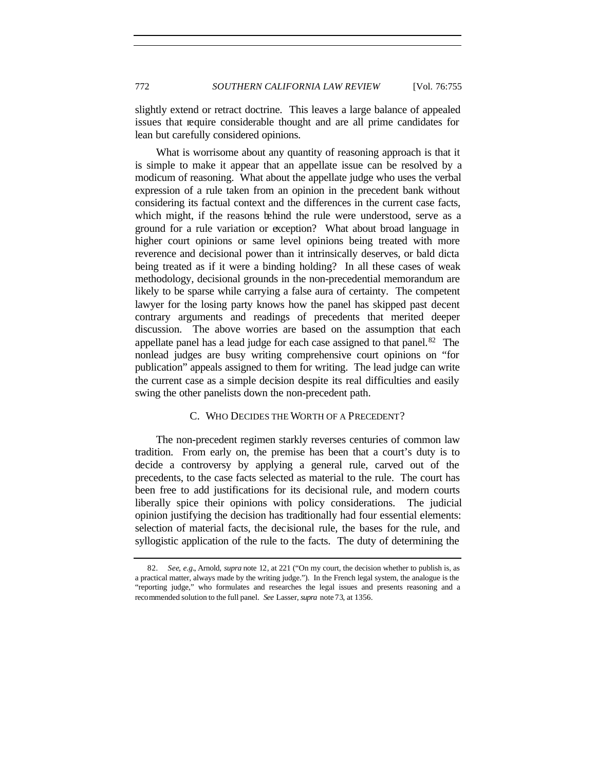slightly extend or retract doctrine. This leaves a large balance of appealed issues that require considerable thought and are all prime candidates for lean but carefully considered opinions.

What is worrisome about any quantity of reasoning approach is that it is simple to make it appear that an appellate issue can be resolved by a modicum of reasoning. What about the appellate judge who uses the verbal expression of a rule taken from an opinion in the precedent bank without considering its factual context and the differences in the current case facts, which might, if the reasons behind the rule were understood, serve as a ground for a rule variation or exception? What about broad language in higher court opinions or same level opinions being treated with more reverence and decisional power than it intrinsically deserves, or bald dicta being treated as if it were a binding holding? In all these cases of weak methodology, decisional grounds in the non-precedential memorandum are likely to be sparse while carrying a false aura of certainty. The competent lawyer for the losing party knows how the panel has skipped past decent contrary arguments and readings of precedents that merited deeper discussion. The above worries are based on the assumption that each appellate panel has a lead judge for each case assigned to that panel.<sup>82</sup> The nonlead judges are busy writing comprehensive court opinions on "for publication" appeals assigned to them for writing. The lead judge can write the current case as a simple decision despite its real difficulties and easily swing the other panelists down the non-precedent path.

## C. WHO DECIDES THE WORTH OF A PRECEDENT?

The non-precedent regimen starkly reverses centuries of common law tradition. From early on, the premise has been that a court's duty is to decide a controversy by applying a general rule, carved out of the precedents, to the case facts selected as material to the rule. The court has been free to add justifications for its decisional rule, and modern courts liberally spice their opinions with policy considerations. The judicial opinion justifying the decision has traditionally had four essential elements: selection of material facts, the decisional rule, the bases for the rule, and syllogistic application of the rule to the facts. The duty of determining the

<sup>82</sup>*. See, e.g.*, Arnold, *supra* note 12, at 221 ("On my court, the decision whether to publish is, as a practical matter, always made by the writing judge."). In the French legal system, the analogue is the "reporting judge," who formulates and researches the legal issues and presents reasoning and a recommended solution to the full panel. *See* Lasser, *supra* note 73, at 1356.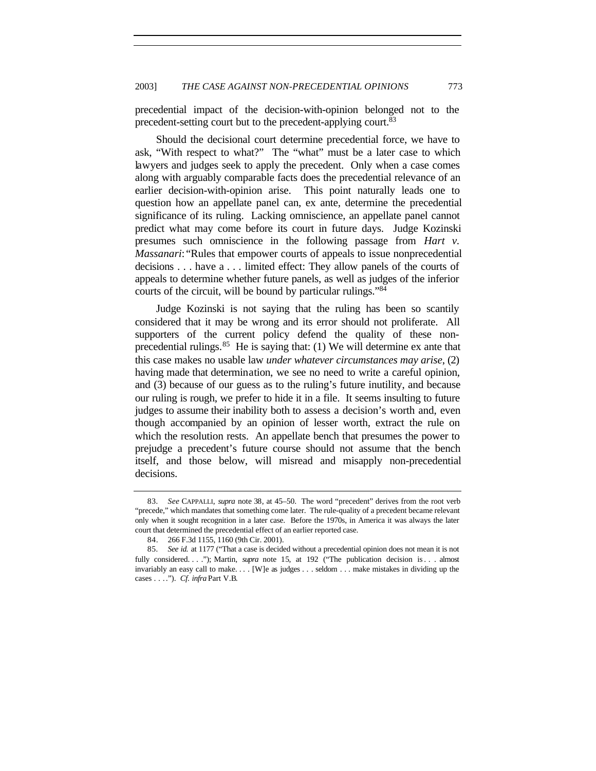precedential impact of the decision-with-opinion belonged not to the precedent-setting court but to the precedent-applying court.<sup>83</sup>

Should the decisional court determine precedential force, we have to ask, "With respect to what?" The "what" must be a later case to which lawyers and judges seek to apply the precedent. Only when a case comes along with arguably comparable facts does the precedential relevance of an earlier decision-with-opinion arise. This point naturally leads one to question how an appellate panel can, ex ante, determine the precedential significance of its ruling. Lacking omniscience, an appellate panel cannot predict what may come before its court in future days. Judge Kozinski presumes such omniscience in the following passage from *Hart v. Massanari*: "Rules that empower courts of appeals to issue nonprecedential decisions . . . have a . . . limited effect: They allow panels of the courts of appeals to determine whether future panels, as well as judges of the inferior courts of the circuit, will be bound by particular rulings."<sup>84</sup>

Judge Kozinski is not saying that the ruling has been so scantily considered that it may be wrong and its error should not proliferate. All supporters of the current policy defend the quality of these nonprecedential rulings.  $85$  He is saying that: (1) We will determine ex ante that this case makes no usable law *under whatever circumstances may arise*, (2) having made that determination, we see no need to write a careful opinion, and (3) because of our guess as to the ruling's future inutility, and because our ruling is rough, we prefer to hide it in a file. It seems insulting to future judges to assume their inability both to assess a decision's worth and, even though accompanied by an opinion of lesser worth, extract the rule on which the resolution rests. An appellate bench that presumes the power to prejudge a precedent's future course should not assume that the bench itself, and those below, will misread and misapply non-precedential decisions.

<sup>83</sup>*. See* CAPPALLI, *supra* note 38, at 45–50. The word "precedent" derives from the root verb "precede," which mandates that something come later. The rule-quality of a precedent became relevant only when it sought recognition in a later case. Before the 1970s, in America it was always the later court that determined the precedential effect of an earlier reported case.

<sup>84.</sup> 266 F.3d 1155, 1160 (9th Cir. 2001).

<sup>85</sup>*. See id.* at 1177 ("That a case is decided without a precedential opinion does not mean it is not fully considered. . . ."); Martin, *supra* note 15, at 192 ("The publication decision is . . . almost invariably an easy call to make. . . . [W]e as judges . . . seldom . . . make mistakes in dividing up the cases . . . ."). *Cf. infra* Part V.B.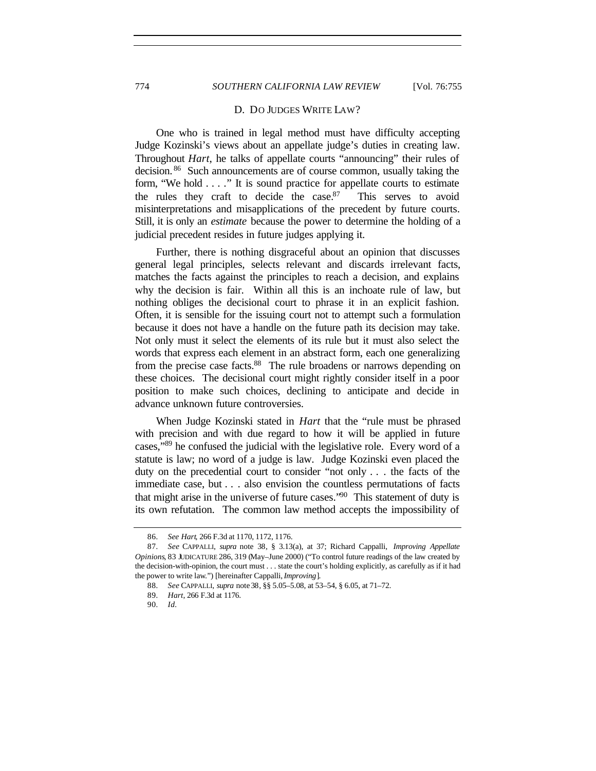## 774 *SOUTHERN CALIFORNIA LAW REVIEW* [Vol. 76:755

#### D. DO JUDGES WRITE LAW?

One who is trained in legal method must have difficulty accepting Judge Kozinski's views about an appellate judge's duties in creating law. Throughout *Hart*, he talks of appellate courts "announcing" their rules of decision. <sup>86</sup> Such announcements are of course common, usually taking the form, "We hold . . . ." It is sound practice for appellate courts to estimate the rules they craft to decide the case. $87$  This serves to avoid misinterpretations and misapplications of the precedent by future courts. Still, it is only an *estimate* because the power to determine the holding of a judicial precedent resides in future judges applying it.

Further, there is nothing disgraceful about an opinion that discusses general legal principles, selects relevant and discards irrelevant facts, matches the facts against the principles to reach a decision, and explains why the decision is fair. Within all this is an inchoate rule of law, but nothing obliges the decisional court to phrase it in an explicit fashion. Often, it is sensible for the issuing court not to attempt such a formulation because it does not have a handle on the future path its decision may take. Not only must it select the elements of its rule but it must also select the words that express each element in an abstract form, each one generalizing from the precise case facts.<sup>88</sup> The rule broadens or narrows depending on these choices. The decisional court might rightly consider itself in a poor position to make such choices, declining to anticipate and decide in advance unknown future controversies.

When Judge Kozinski stated in *Hart* that the "rule must be phrased with precision and with due regard to how it will be applied in future cases,"<sup>89</sup> he confused the judicial with the legislative role. Every word of a statute is law; no word of a judge is law. Judge Kozinski even placed the duty on the precedential court to consider "not only . . . the facts of the immediate case, but . . . also envision the countless permutations of facts that might arise in the universe of future cases."<sup>90</sup> This statement of duty is its own refutation. The common law method accepts the impossibility of

<sup>86</sup>*. See Hart*, 266 F.3d at 1170, 1172, 1176.

<sup>87</sup>*. See* CAPPALLI, *supra* note 38, § 3.13(a), at 37; Richard Cappalli, *Improving Appellate Opinions*, 83 JUDICATURE 286, 319 (May–June 2000) ("To control future readings of the law created by the decision-with-opinion, the court must . . . state the court's holding explicitly, as carefully as if it had the power to write law.") [hereinafter Cappalli, *Improving*].

<sup>88</sup>*. See* CAPPALLI, *supra* note 38, §§ 5.05–5.08, at 53–54, § 6.05, at 71–72.

<sup>89</sup>*. Hart*, 266 F.3d at 1176.

<sup>90</sup>*. Id.*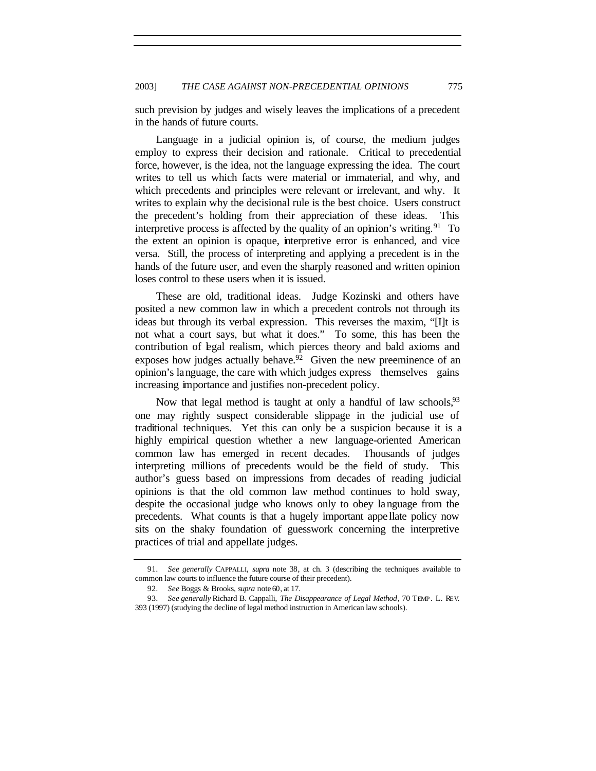such prevision by judges and wisely leaves the implications of a precedent in the hands of future courts.

Language in a judicial opinion is, of course, the medium judges employ to express their decision and rationale. Critical to precedential force, however, is the idea, not the language expressing the idea. The court writes to tell us which facts were material or immaterial, and why, and which precedents and principles were relevant or irrelevant, and why. It writes to explain why the decisional rule is the best choice. Users construct the precedent's holding from their appreciation of these ideas. This interpretive process is affected by the quality of an opinion's writing.<sup>91</sup> To the extent an opinion is opaque, interpretive error is enhanced, and vice versa. Still, the process of interpreting and applying a precedent is in the hands of the future user, and even the sharply reasoned and written opinion loses control to these users when it is issued.

These are old, traditional ideas. Judge Kozinski and others have posited a new common law in which a precedent controls not through its ideas but through its verbal expression. This reverses the maxim, "[I]t is not what a court says, but what it does." To some, this has been the contribution of legal realism, which pierces theory and bald axioms and exposes how judges actually behave.<sup>92</sup> Given the new preeminence of an opinion's language, the care with which judges express themselves gains increasing importance and justifies non-precedent policy.

Now that legal method is taught at only a handful of law schools, <sup>93</sup> one may rightly suspect considerable slippage in the judicial use of traditional techniques. Yet this can only be a suspicion because it is a highly empirical question whether a new language-oriented American common law has emerged in recent decades. Thousands of judges interpreting millions of precedents would be the field of study. This author's guess based on impressions from decades of reading judicial opinions is that the old common law method continues to hold sway, despite the occasional judge who knows only to obey language from the precedents. What counts is that a hugely important appe llate policy now sits on the shaky foundation of guesswork concerning the interpretive practices of trial and appellate judges.

<sup>91</sup>*. See generally* CAPPALLI, *supra* note 38, at ch. 3 (describing the techniques available to common law courts to influence the future course of their precedent).

<sup>92</sup>*. See* Boggs & Brooks, *supra* note 60, at 17.

<sup>93</sup>*. See generally* Richard B. Cappalli, *The Disappearance of Legal Method*, 70 TEMP. L. REV. 393 (1997) (studying the decline of legal method instruction in American law schools).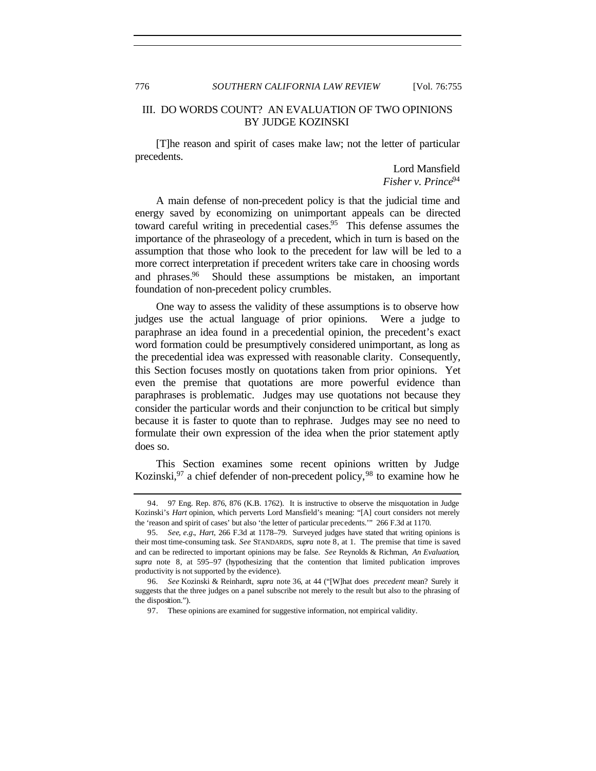776 *SOUTHERN CALIFORNIA LAW REVIEW* [Vol. 76:755

## III. DO WORDS COUNT? AN EVALUATION OF TWO OPINIONS BY JUDGE KOZINSKI

[T]he reason and spirit of cases make law; not the letter of particular precedents.

> Lord Mansfield *Fisher v. Prince*<sup>94</sup>

A main defense of non-precedent policy is that the judicial time and energy saved by economizing on unimportant appeals can be directed toward careful writing in precedential cases.<sup>95</sup> This defense assumes the importance of the phraseology of a precedent, which in turn is based on the assumption that those who look to the precedent for law will be led to a more correct interpretation if precedent writers take care in choosing words and phrases.<sup>96</sup> Should these assumptions be mistaken, an important foundation of non-precedent policy crumbles.

One way to assess the validity of these assumptions is to observe how judges use the actual language of prior opinions. Were a judge to paraphrase an idea found in a precedential opinion, the precedent's exact word formation could be presumptively considered unimportant, as long as the precedential idea was expressed with reasonable clarity. Consequently, this Section focuses mostly on quotations taken from prior opinions. Yet even the premise that quotations are more powerful evidence than paraphrases is problematic. Judges may use quotations not because they consider the particular words and their conjunction to be critical but simply because it is faster to quote than to rephrase. Judges may see no need to formulate their own expression of the idea when the prior statement aptly does so.

This Section examines some recent opinions written by Judge Kozinski,<sup>97</sup> a chief defender of non-precedent policy,<sup>98</sup> to examine how he

<sup>94.</sup> 97 Eng. Rep. 876, 876 (K.B. 1762). It is instructive to observe the misquotation in Judge Kozinski's *Hart* opinion, which perverts Lord Mansfield's meaning: "[A] court considers not merely the 'reason and spirit of cases' but also 'the letter of particular precedents.'" 266 F.3d at 1170.

<sup>95</sup>*. See, e.g.*, *Hart*, 266 F.3d at 1178–79. Surveyed judges have stated that writing opinions is their most time-consuming task. *See* STANDARDS, *supra* note 8, at 1. The premise that time is saved and can be redirected to important opinions may be false. *See* Reynolds & Richman, *An Evaluation*, *supra* note 8, at 595–97 (hypothesizing that the contention that limited publication improves productivity is not supported by the evidence).

<sup>96</sup>*. See* Kozinski & Reinhardt, *supra* note 36, at 44 ("[W]hat does *precedent* mean? Surely it suggests that the three judges on a panel subscribe not merely to the result but also to the phrasing of the disposition.").

<sup>97.</sup> These opinions are examined for suggestive information, not empirical validity.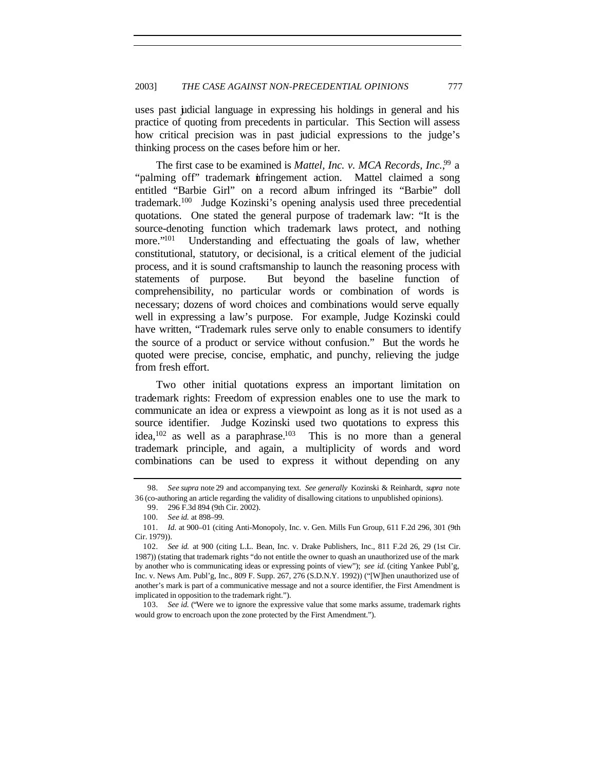uses past judicial language in expressing his holdings in general and his practice of quoting from precedents in particular. This Section will assess how critical precision was in past judicial expressions to the judge's thinking process on the cases before him or her.

The first case to be examined is *Mattel, Inc. v. MCA Records, Inc.*<sup>99</sup> a "palming off" trademark infringement action. Mattel claimed a song entitled "Barbie Girl" on a record album infringed its "Barbie" doll trademark.<sup>100</sup> Judge Kozinski's opening analysis used three precedential quotations. One stated the general purpose of trademark law: "It is the source-denoting function which trademark laws protect, and nothing more."<sup>101</sup> Understanding and effectuating the goals of law, whether constitutional, statutory, or decisional, is a critical element of the judicial process, and it is sound craftsmanship to launch the reasoning process with statements of purpose. But beyond the baseline function of comprehensibility, no particular words or combination of words is necessary; dozens of word choices and combinations would serve equally well in expressing a law's purpose. For example, Judge Kozinski could have written, "Trademark rules serve only to enable consumers to identify the source of a product or service without confusion." But the words he quoted were precise, concise, emphatic, and punchy, relieving the judge from fresh effort.

Two other initial quotations express an important limitation on trademark rights: Freedom of expression enables one to use the mark to communicate an idea or express a viewpoint as long as it is not used as a source identifier. Judge Kozinski used two quotations to express this idea,<sup>102</sup> as well as a paraphrase.<sup>103</sup> This is no more than a general trademark principle, and again, a multiplicity of words and word combinations can be used to express it without depending on any

<sup>98</sup>*. See supra* note 29 and accompanying text. *See generally* Kozinski & Reinhardt, *supra* note 36 (co-authoring an article regarding the validity of disallowing citations to unpublished opinions).

<sup>99.</sup> 296 F.3d 894 (9th Cir. 2002).

<sup>100</sup>*. See id.* at 898–99.

<sup>101</sup>*. Id.* at 900–01 (citing Anti-Monopoly, Inc. v. Gen. Mills Fun Group, 611 F.2d 296, 301 (9th Cir. 1979)).

<sup>102</sup>*. See id.* at 900 (citing L.L. Bean, Inc. v. Drake Publishers, Inc., 811 F.2d 26, 29 (1st Cir. 1987)) (stating that trademark rights "do not entitle the owner to quash an unauthorized use of the mark by another who is communicating ideas or expressing points of view"); *see id.* (citing Yankee Publ'g, Inc. v. News Am. Publ'g, Inc., 809 F. Supp. 267, 276 (S.D.N.Y. 1992)) ("[W]hen unauthorized use of another's mark is part of a communicative message and not a source identifier, the First Amendment is implicated in opposition to the trademark right.").

<sup>103</sup>*. See id.* ("Were we to ignore the expressive value that some marks assume, trademark rights would grow to encroach upon the zone protected by the First Amendment.").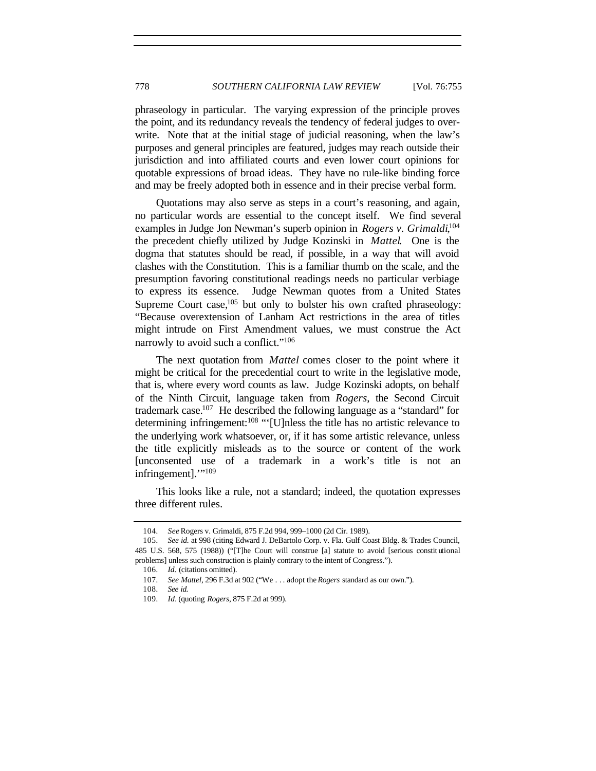phraseology in particular. The varying expression of the principle proves the point, and its redundancy reveals the tendency of federal judges to overwrite. Note that at the initial stage of judicial reasoning, when the law's purposes and general principles are featured, judges may reach outside their jurisdiction and into affiliated courts and even lower court opinions for quotable expressions of broad ideas. They have no rule-like binding force and may be freely adopted both in essence and in their precise verbal form.

Quotations may also serve as steps in a court's reasoning, and again, no particular words are essential to the concept itself. We find several examples in Judge Jon Newman's superb opinion in *Rogers v. Grimaldi*,<sup>104</sup> the precedent chiefly utilized by Judge Kozinski in *Mattel*. One is the dogma that statutes should be read, if possible, in a way that will avoid clashes with the Constitution. This is a familiar thumb on the scale, and the presumption favoring constitutional readings needs no particular verbiage to express its essence. Judge Newman quotes from a United States Supreme Court case, $105$  but only to bolster his own crafted phraseology: "Because overextension of Lanham Act restrictions in the area of titles might intrude on First Amendment values, we must construe the Act narrowly to avoid such a conflict."<sup>106</sup>

The next quotation from *Mattel* comes closer to the point where it might be critical for the precedential court to write in the legislative mode, that is, where every word counts as law. Judge Kozinski adopts, on behalf of the Ninth Circuit, language taken from *Rogers*, the Second Circuit trademark case.<sup>107</sup> He described the following language as a "standard" for determining infringement:<sup>108</sup> "'[U]nless the title has no artistic relevance to the underlying work whatsoever, or, if it has some artistic relevance, unless the title explicitly misleads as to the source or content of the work [unconsented use of a trademark in a work's title is not an infringement]."<sup>109</sup>

This looks like a rule, not a standard; indeed, the quotation expresses three different rules.

<sup>104</sup>*. See* Rogers v. Grimaldi, 875 F.2d 994, 999–1000 (2d Cir. 1989).

<sup>105</sup>*. See id.* at 998 (citing Edward J. DeBartolo Corp. v. Fla. Gulf Coast Bldg. & Trades Council, 485 U.S. 568, 575 (1988)) ("[T]he Court will construe [a] statute to avoid [serious constit utional problems] unless such construction is plainly contrary to the intent of Congress.").

<sup>106</sup>*. Id.* (citations omitted).

<sup>107</sup>*. See Mattel*, 296 F.3d at 902 ("We . . . adopt the *Rogers* standard as our own.").

<sup>108</sup>*. See id.*

<sup>109</sup>*. Id.* (quoting *Rogers*, 875 F.2d at 999).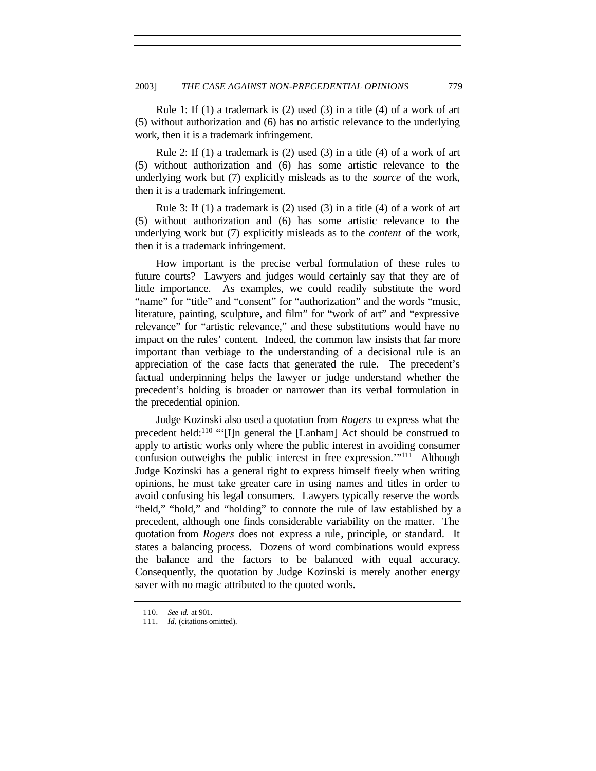Rule 1: If  $(1)$  a trademark is  $(2)$  used  $(3)$  in a title  $(4)$  of a work of art (5) without authorization and (6) has no artistic relevance to the underlying work, then it is a trademark infringement.

Rule 2: If (1) a trademark is (2) used (3) in a title (4) of a work of art (5) without authorization and (6) has some artistic relevance to the underlying work but (7) explicitly misleads as to the *source* of the work, then it is a trademark infringement.

Rule 3: If  $(1)$  a trademark is  $(2)$  used  $(3)$  in a title  $(4)$  of a work of art (5) without authorization and (6) has some artistic relevance to the underlying work but (7) explicitly misleads as to the *content* of the work, then it is a trademark infringement.

How important is the precise verbal formulation of these rules to future courts? Lawyers and judges would certainly say that they are of little importance. As examples, we could readily substitute the word "name" for "title" and "consent" for "authorization" and the words "music, literature, painting, sculpture, and film" for "work of art" and "expressive relevance" for "artistic relevance," and these substitutions would have no impact on the rules' content. Indeed, the common law insists that far more important than verbiage to the understanding of a decisional rule is an appreciation of the case facts that generated the rule. The precedent's factual underpinning helps the lawyer or judge understand whether the precedent's holding is broader or narrower than its verbal formulation in the precedential opinion.

Judge Kozinski also used a quotation from *Rogers* to express what the precedent held:<sup>110</sup> "'[I]n general the [Lanham] Act should be construed to apply to artistic works only where the public interest in avoiding consumer confusion outweighs the public interest in free expression."<sup>111</sup> Although Judge Kozinski has a general right to express himself freely when writing opinions, he must take greater care in using names and titles in order to avoid confusing his legal consumers. Lawyers typically reserve the words "held," "hold," and "holding" to connote the rule of law established by a precedent, although one finds considerable variability on the matter. The quotation from *Rogers* does not express a rule, principle, or standard. It states a balancing process. Dozens of word combinations would express the balance and the factors to be balanced with equal accuracy. Consequently, the quotation by Judge Kozinski is merely another energy saver with no magic attributed to the quoted words.

<sup>110</sup>*. See id.* at 901.

<sup>111</sup>*. Id.* (citations omitted).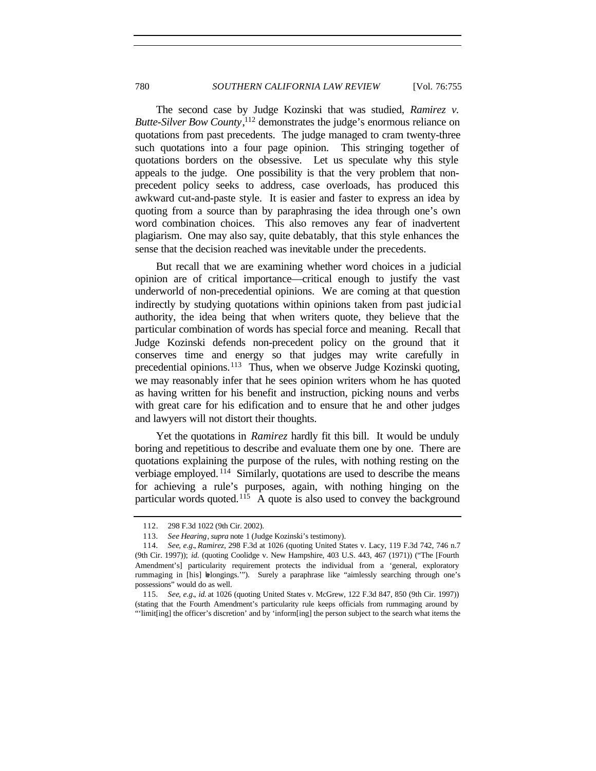The second case by Judge Kozinski that was studied, *Ramirez v. Butte-Silver Bow County*, <sup>112</sup> demonstrates the judge's enormous reliance on quotations from past precedents. The judge managed to cram twenty-three such quotations into a four page opinion. This stringing together of quotations borders on the obsessive. Let us speculate why this style appeals to the judge. One possibility is that the very problem that nonprecedent policy seeks to address, case overloads, has produced this awkward cut-and-paste style. It is easier and faster to express an idea by quoting from a source than by paraphrasing the idea through one's own word combination choices. This also removes any fear of inadvertent plagiarism. One may also say, quite debatably, that this style enhances the sense that the decision reached was inevitable under the precedents.

But recall that we are examining whether word choices in a judicial opinion are of critical importance—critical enough to justify the vast underworld of non-precedential opinions. We are coming at that question indirectly by studying quotations within opinions taken from past judicial authority, the idea being that when writers quote, they believe that the particular combination of words has special force and meaning. Recall that Judge Kozinski defends non-precedent policy on the ground that it conserves time and energy so that judges may write carefully in precedential opinions.<sup>113</sup> Thus, when we observe Judge Kozinski quoting, we may reasonably infer that he sees opinion writers whom he has quoted as having written for his benefit and instruction, picking nouns and verbs with great care for his edification and to ensure that he and other judges and lawyers will not distort their thoughts.

Yet the quotations in *Ramirez* hardly fit this bill. It would be unduly boring and repetitious to describe and evaluate them one by one. There are quotations explaining the purpose of the rules, with nothing resting on the verbiage employed. <sup>114</sup> Similarly, quotations are used to describe the means for achieving a rule's purposes, again, with nothing hinging on the particular words quoted.<sup>115</sup> A quote is also used to convey the background

<sup>112.</sup> 298 F.3d 1022 (9th Cir. 2002).

<sup>113</sup>*. See Hearing*, *supra* note 1 (Judge Kozinski's testimony).

<sup>114</sup>*. See, e.g.*, *Ramirez*, 298 F.3d at 1026 (quoting United States v. Lacy, 119 F.3d 742, 746 n.7 (9th Cir. 1997)); *id.* (quoting Coolidge v. New Hampshire, 403 U.S. 443, 467 (1971)) ("The [Fourth Amendment's] particularity requirement protects the individual from a 'general, exploratory rummaging in [his] belongings.'"). Surely a paraphrase like "aimlessly searching through one's possessions" would do as well.

<sup>115</sup>*. See, e.g.*, *id.* at 1026 (quoting United States v. McGrew, 122 F.3d 847, 850 (9th Cir. 1997)) (stating that the Fourth Amendment's particularity rule keeps officials from rummaging around by "'limit[ing] the officer's discretion' and by 'inform[ing] the person subject to the search what items the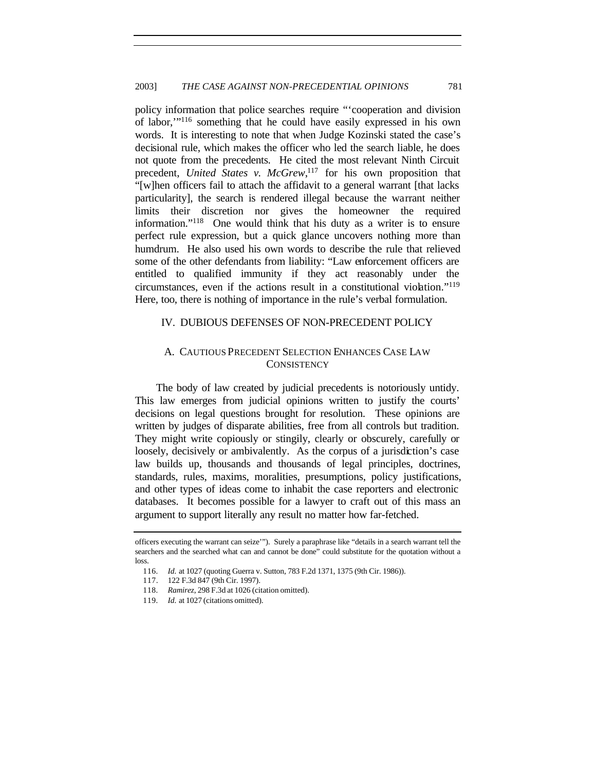policy information that police searches require "'cooperation and division of labor,'"<sup>116</sup> something that he could have easily expressed in his own words. It is interesting to note that when Judge Kozinski stated the case's decisional rule, which makes the officer who led the search liable, he does not quote from the precedents. He cited the most relevant Ninth Circuit precedent, *United States v. McGrew*, <sup>117</sup> for his own proposition that "[w]hen officers fail to attach the affidavit to a general warrant [that lacks particularity], the search is rendered illegal because the warrant neither limits their discretion nor gives the homeowner the required information."<sup>118</sup> One would think that his duty as a writer is to ensure perfect rule expression, but a quick glance uncovers nothing more than humdrum. He also used his own words to describe the rule that relieved some of the other defendants from liability: "Law enforcement officers are entitled to qualified immunity if they act reasonably under the circumstances, even if the actions result in a constitutional violation."<sup>119</sup> Here, too, there is nothing of importance in the rule's verbal formulation.

## IV. DUBIOUS DEFENSES OF NON-PRECEDENT POLICY

## A. CAUTIOUS PRECEDENT SELECTION ENHANCES CASE LAW **CONSISTENCY**

The body of law created by judicial precedents is notoriously untidy. This law emerges from judicial opinions written to justify the courts' decisions on legal questions brought for resolution. These opinions are written by judges of disparate abilities, free from all controls but tradition. They might write copiously or stingily, clearly or obscurely, carefully or loosely, decisively or ambivalently. As the corpus of a jurisdiction's case law builds up, thousands and thousands of legal principles, doctrines, standards, rules, maxims, moralities, presumptions, policy justifications, and other types of ideas come to inhabit the case reporters and electronic databases. It becomes possible for a lawyer to craft out of this mass an argument to support literally any result no matter how far-fetched.

officers executing the warrant can seize'"). Surely a paraphrase like "details in a search warrant tell the searchers and the searched what can and cannot be done" could substitute for the quotation without a loss.

<sup>116</sup>*. Id.* at 1027 (quoting Guerra v. Sutton, 783 F.2d 1371, 1375 (9th Cir. 1986)).

<sup>117.</sup> 122 F.3d 847 (9th Cir. 1997).

<sup>118</sup>*. Ramirez*, 298 F.3d at 1026 (citation omitted).

<sup>119</sup>*. Id.* at 1027 (citations omitted).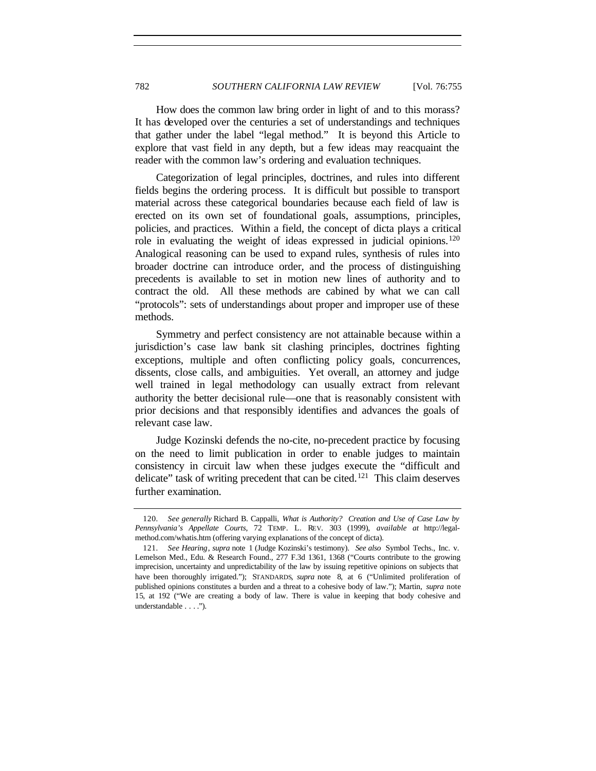How does the common law bring order in light of and to this morass? It has developed over the centuries a set of understandings and techniques that gather under the label "legal method." It is beyond this Article to explore that vast field in any depth, but a few ideas may reacquaint the reader with the common law's ordering and evaluation techniques.

Categorization of legal principles, doctrines, and rules into different fields begins the ordering process. It is difficult but possible to transport material across these categorical boundaries because each field of law is erected on its own set of foundational goals, assumptions, principles, policies, and practices. Within a field, the concept of dicta plays a critical role in evaluating the weight of ideas expressed in judicial opinions.<sup>120</sup> Analogical reasoning can be used to expand rules, synthesis of rules into broader doctrine can introduce order, and the process of distinguishing precedents is available to set in motion new lines of authority and to contract the old. All these methods are cabined by what we can call "protocols": sets of understandings about proper and improper use of these methods.

Symmetry and perfect consistency are not attainable because within a jurisdiction's case law bank sit clashing principles, doctrines fighting exceptions, multiple and often conflicting policy goals, concurrences, dissents, close calls, and ambiguities. Yet overall, an attorney and judge well trained in legal methodology can usually extract from relevant authority the better decisional rule—one that is reasonably consistent with prior decisions and that responsibly identifies and advances the goals of relevant case law.

Judge Kozinski defends the no-cite, no-precedent practice by focusing on the need to limit publication in order to enable judges to maintain consistency in circuit law when these judges execute the "difficult and delicate" task of writing precedent that can be cited.<sup>121</sup> This claim deserves further examination.

<sup>120</sup>*. See generally* Richard B. Cappalli, *What is Authority? Creation and Use of Case Law by Pennsylvania's Appellate Courts*, 72 TEMP. L. REV. 303 (1999), *available at* http://legalmethod.com/whatis.htm (offering varying explanations of the concept of dicta).

<sup>121</sup>*. See Hearing*, *supra* note 1 (Judge Kozinski's testimony). *See also* Symbol Techs., Inc. v. Lemelson Med., Edu. & Research Found., 277 F.3d 1361, 1368 ("Courts contribute to the growing imprecision, uncertainty and unpredictability of the law by issuing repetitive opinions on subjects that have been thoroughly irrigated."); STANDARDS, *supra* note 8, at 6 ("Unlimited proliferation of published opinions constitutes a burden and a threat to a cohesive body of law."); Martin, *supra* note 15, at 192 ("We are creating a body of law. There is value in keeping that body cohesive and understandable . . . .").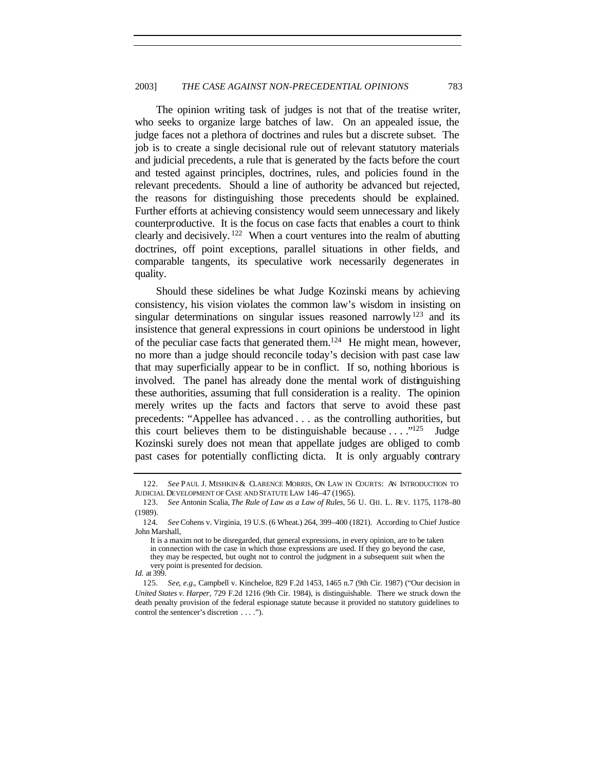The opinion writing task of judges is not that of the treatise writer, who seeks to organize large batches of law. On an appealed issue, the judge faces not a plethora of doctrines and rules but a discrete subset. The job is to create a single decisional rule out of relevant statutory materials and judicial precedents, a rule that is generated by the facts before the court and tested against principles, doctrines, rules, and policies found in the relevant precedents. Should a line of authority be advanced but rejected, the reasons for distinguishing those precedents should be explained. Further efforts at achieving consistency would seem unnecessary and likely counterproductive. It is the focus on case facts that enables a court to think clearly and decisively. <sup>122</sup> When a court ventures into the realm of abutting doctrines, off point exceptions, parallel situations in other fields, and comparable tangents, its speculative work necessarily degenerates in quality.

Should these sidelines be what Judge Kozinski means by achieving consistency, his vision violates the common law's wisdom in insisting on singular determinations on singular issues reasoned narrowly<sup>123</sup> and its insistence that general expressions in court opinions be understood in light of the peculiar case facts that generated them.<sup>124</sup> He might mean, however, no more than a judge should reconcile today's decision with past case law that may superficially appear to be in conflict. If so, nothing laborious is involved. The panel has already done the mental work of distinguishing these authorities, assuming that full consideration is a reality. The opinion merely writes up the facts and factors that serve to avoid these past precedents: "Appellee has advanced . . . as the controlling authorities, but this court believes them to be distinguishable because  $\dots$  ."<sup>125</sup> Judge Kozinski surely does not mean that appellate judges are obliged to comb past cases for potentially conflicting dicta. It is only arguably contrary

<sup>122</sup>*. See* PAUL J. MISHKIN & CLARENCE MORRIS, ON LAW IN COURTS: AN INTRODUCTION TO JUDICIAL DEVELOPMENT OF CASE AND STATUTE LAW 146–47 (1965).

<sup>123</sup>*. See* Antonin Scalia, *The Rule of Law as a Law of Rules*, 56 U. CHI. L. REV. 1175, 1178–80 (1989).

<sup>124</sup>*. See* Cohens v. Virginia, 19 U.S. (6 Wheat.) 264, 399–400 (1821). According to Chief Justice John Marshall,

It is a maxim not to be disregarded, that general expressions, in every opinion, are to be taken in connection with the case in which those expressions are used. If they go beyond the case, they may be respected, but ought not to control the judgment in a subsequent suit when the very point is presented for decision.

*Id.* at 399.

<sup>125</sup>*. See, e.g.*, Campbell v. Kincheloe, 829 F.2d 1453, 1465 n.7 (9th Cir. 1987) ("Our decision in *United States v. Harper*, 729 F.2d 1216 (9th Cir. 1984), is distinguishable. There we struck down the death penalty provision of the federal espionage statute because it provided no statutory guidelines to control the sentencer's discretion . . . .").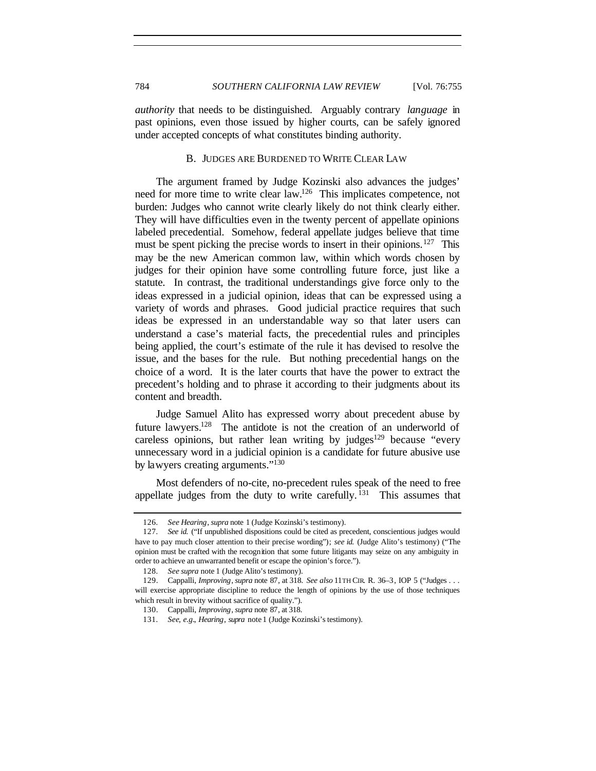*authority* that needs to be distinguished. Arguably contrary *language* in past opinions, even those issued by higher courts, can be safely ignored under accepted concepts of what constitutes binding authority.

#### B. JUDGES ARE BURDENED TO WRITE CLEAR LAW

The argument framed by Judge Kozinski also advances the judges' need for more time to write clear law.<sup>126</sup> This implicates competence, not burden: Judges who cannot write clearly likely do not think clearly either. They will have difficulties even in the twenty percent of appellate opinions labeled precedential. Somehow, federal appellate judges believe that time must be spent picking the precise words to insert in their opinions.<sup>127</sup> This may be the new American common law, within which words chosen by judges for their opinion have some controlling future force, just like a statute. In contrast, the traditional understandings give force only to the ideas expressed in a judicial opinion, ideas that can be expressed using a variety of words and phrases. Good judicial practice requires that such ideas be expressed in an understandable way so that later users can understand a case's material facts, the precedential rules and principles being applied, the court's estimate of the rule it has devised to resolve the issue, and the bases for the rule. But nothing precedential hangs on the choice of a word. It is the later courts that have the power to extract the precedent's holding and to phrase it according to their judgments about its content and breadth.

Judge Samuel Alito has expressed worry about precedent abuse by future lawyers.<sup>128</sup> The antidote is not the creation of an underworld of careless opinions, but rather lean writing by judges<sup>129</sup> because "every" unnecessary word in a judicial opinion is a candidate for future abusive use by lawyers creating arguments."<sup>130</sup>

Most defenders of no-cite, no-precedent rules speak of the need to free appellate judges from the duty to write carefully.  $131$  This assumes that

<sup>126</sup>*. See Hearing*, *supra* note 1 (Judge Kozinski's testimony).

<sup>127</sup>*. See id.* ("If unpublished dispositions could be cited as precedent, conscientious judges would have to pay much closer attention to their precise wording"); *see id.* (Judge Alito's testimony) ("The opinion must be crafted with the recognition that some future litigants may seize on any ambiguity in order to achieve an unwarranted benefit or escape the opinion's force.").

<sup>128</sup>*. See supra* note 1 (Judge Alito's testimony).

<sup>129.</sup> Cappalli, *Improving*, *supra* note 87, at 318. *See also* 11TH CIR. R. 36–3, IOP 5 ("Judges . . . will exercise appropriate discipline to reduce the length of opinions by the use of those techniques which result in brevity without sacrifice of quality.").

<sup>130.</sup> Cappalli, *Improving*, *supra* note 87, at 318.

<sup>131</sup>*. See, e.g.*, *Hearing*, *supra* note 1 (Judge Kozinski's testimony).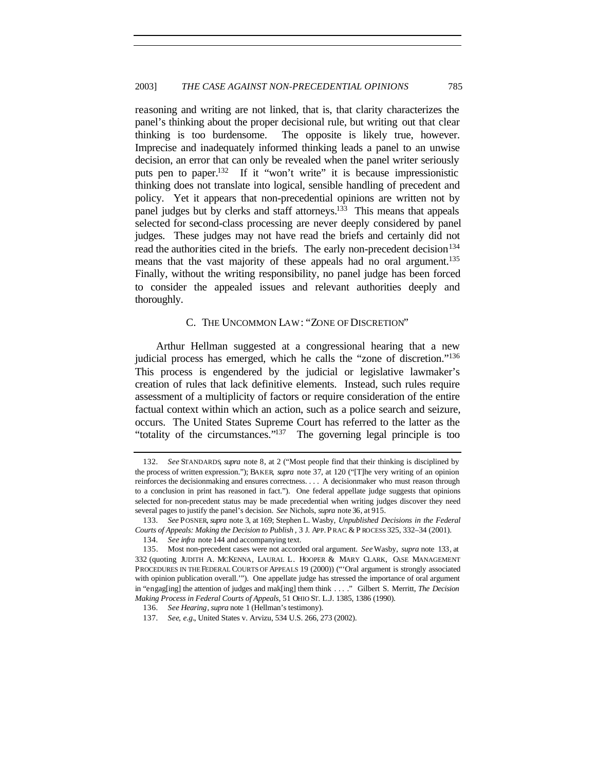reasoning and writing are not linked, that is, that clarity characterizes the panel's thinking about the proper decisional rule, but writing out that clear thinking is too burdensome. The opposite is likely true, however. Imprecise and inadequately informed thinking leads a panel to an unwise decision, an error that can only be revealed when the panel writer seriously puts pen to paper.<sup>132</sup> If it "won't write" it is because impressionistic thinking does not translate into logical, sensible handling of precedent and policy. Yet it appears that non-precedential opinions are written not by panel judges but by clerks and staff attorneys.<sup>133</sup> This means that appeals selected for second-class processing are never deeply considered by panel judges. These judges may not have read the briefs and certainly did not read the authorities cited in the briefs. The early non-precedent decision<sup>134</sup> means that the vast majority of these appeals had no oral argument.<sup>135</sup> Finally, without the writing responsibility, no panel judge has been forced to consider the appealed issues and relevant authorities deeply and thoroughly.

## C. THE UNCOMMON LAW: "ZONE OF DISCRETION"

Arthur Hellman suggested at a congressional hearing that a new judicial process has emerged, which he calls the "zone of discretion."<sup>136</sup> This process is engendered by the judicial or legislative lawmaker's creation of rules that lack definitive elements. Instead, such rules require assessment of a multiplicity of factors or require consideration of the entire factual context within which an action, such as a police search and seizure, occurs. The United States Supreme Court has referred to the latter as the "totality of the circumstances."<sup>137</sup> The governing legal principle is too

<sup>132</sup>*. See* STANDARDS, *supra* note 8, at 2 ("Most people find that their thinking is disciplined by the process of written expression."); BAKER, *supra* note 37, at 120 ("[T]he very writing of an opinion reinforces the decisionmaking and ensures correctness. . . . A decisionmaker who must reason through to a conclusion in print has reasoned in fact."). One federal appellate judge suggests that opinions selected for non-precedent status may be made precedential when writing judges discover they need several pages to justify the panel's decision. *See* Nichols, *supra* note 36, at 915.

<sup>133</sup>*. See* POSNER, *supra* note 3, at 169; Stephen L. Wasby, *Unpublished Decisions in the Federal Courts of Appeals: Making the Decision to Publish* , 3 J. APP. P RAC. & P ROCESS 325, 332–34 (2001).

<sup>134</sup>*. See infra* note 144 and accompanying text.

<sup>135.</sup> Most non-precedent cases were not accorded oral argument. *See* Wasby, *supra* note 133, at 332 (quoting JUDITH A. MCKENNA, LAURAL L. HOOPER & MARY CLARK, CASE MANAGEMENT PROCEDURES IN THE FEDERAL COURTS OF APPEALS 19 (2000)) ("'Oral argument is strongly associated with opinion publication overall.'"). One appellate judge has stressed the importance of oral argument in "engag[ing] the attention of judges and mak[ing] them think . . . ." Gilbert S. Merritt, *The Decision Making Process in Federal Courts of Appeals*, 51 OHIO ST. L.J. 1385, 1386 (1990).

<sup>136</sup>*. See Hearing*, *supra* note 1 (Hellman's testimony).

<sup>137</sup>*. See, e.g.*, United States v. Arvizu, 534 U.S. 266, 273 (2002).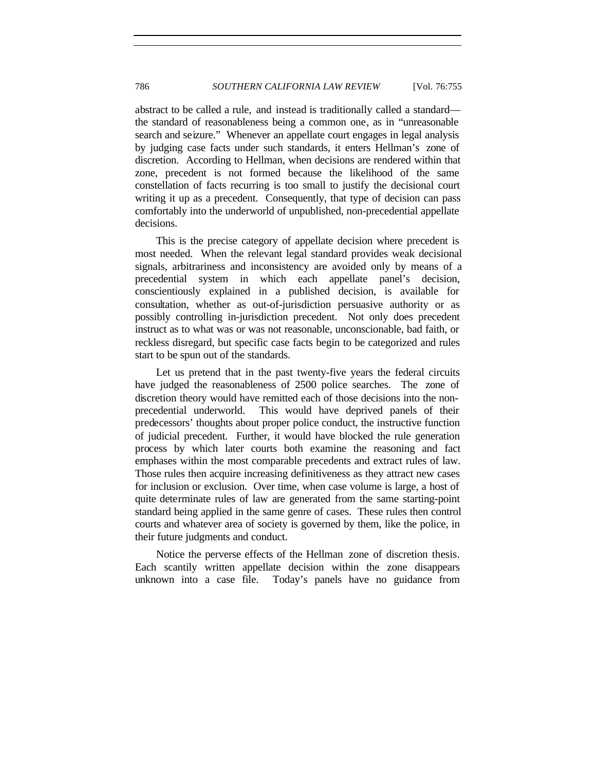abstract to be called a rule, and instead is traditionally called a standard the standard of reasonableness being a common one, as in "unreasonable search and seizure." Whenever an appellate court engages in legal analysis by judging case facts under such standards, it enters Hellman's zone of discretion. According to Hellman, when decisions are rendered within that zone, precedent is not formed because the likelihood of the same constellation of facts recurring is too small to justify the decisional court writing it up as a precedent. Consequently, that type of decision can pass comfortably into the underworld of unpublished, non-precedential appellate decisions.

This is the precise category of appellate decision where precedent is most needed. When the relevant legal standard provides weak decisional signals, arbitrariness and inconsistency are avoided only by means of a precedential system in which each appellate panel's decision, conscientiously explained in a published decision, is available for consultation, whether as out-of-jurisdiction persuasive authority or as possibly controlling in-jurisdiction precedent. Not only does precedent instruct as to what was or was not reasonable, unconscionable, bad faith, or reckless disregard, but specific case facts begin to be categorized and rules start to be spun out of the standards.

Let us pretend that in the past twenty-five years the federal circuits have judged the reasonableness of 2500 police searches. The zone of discretion theory would have remitted each of those decisions into the nonprecedential underworld. This would have deprived panels of their predecessors' thoughts about proper police conduct, the instructive function of judicial precedent. Further, it would have blocked the rule generation process by which later courts both examine the reasoning and fact emphases within the most comparable precedents and extract rules of law. Those rules then acquire increasing definitiveness as they attract new cases for inclusion or exclusion. Over time, when case volume is large, a host of quite determinate rules of law are generated from the same starting-point standard being applied in the same genre of cases. These rules then control courts and whatever area of society is governed by them, like the police, in their future judgments and conduct.

Notice the perverse effects of the Hellman zone of discretion thesis. Each scantily written appellate decision within the zone disappears unknown into a case file. Today's panels have no guidance from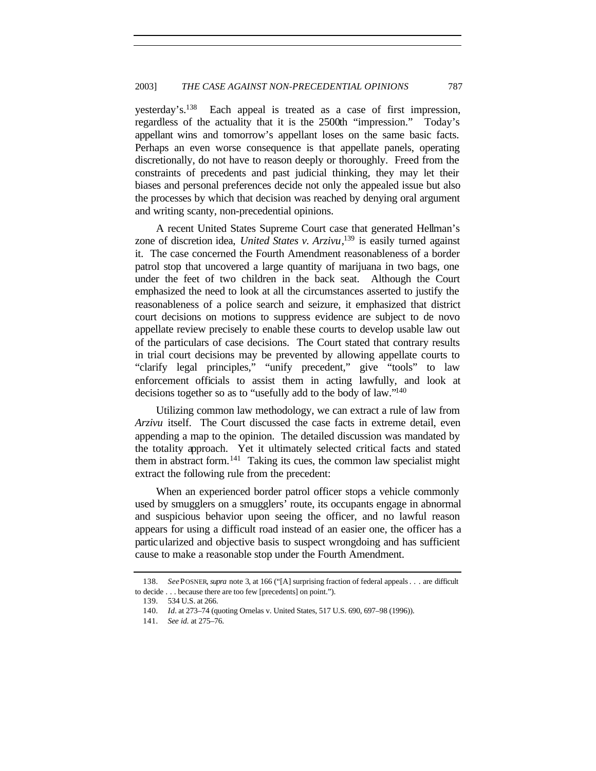yesterday's.<sup>138</sup> Each appeal is treated as a case of first impression, regardless of the actuality that it is the 2500th "impression." Today's appellant wins and tomorrow's appellant loses on the same basic facts. Perhaps an even worse consequence is that appellate panels, operating discretionally, do not have to reason deeply or thoroughly. Freed from the constraints of precedents and past judicial thinking, they may let their biases and personal preferences decide not only the appealed issue but also the processes by which that decision was reached by denying oral argument and writing scanty, non-precedential opinions.

A recent United States Supreme Court case that generated Hellman's zone of discretion idea, *United States v. Arzivu*, <sup>139</sup> is easily turned against it. The case concerned the Fourth Amendment reasonableness of a border patrol stop that uncovered a large quantity of marijuana in two bags, one under the feet of two children in the back seat. Although the Court emphasized the need to look at all the circumstances asserted to justify the reasonableness of a police search and seizure, it emphasized that district court decisions on motions to suppress evidence are subject to de novo appellate review precisely to enable these courts to develop usable law out of the particulars of case decisions. The Court stated that contrary results in trial court decisions may be prevented by allowing appellate courts to "clarify legal principles," "unify precedent," give "tools" to law enforcement officials to assist them in acting lawfully, and look at decisions together so as to "usefully add to the body of law."<sup>140</sup>

Utilizing common law methodology, we can extract a rule of law from *Arzivu* itself. The Court discussed the case facts in extreme detail, even appending a map to the opinion. The detailed discussion was mandated by the totality approach. Yet it ultimately selected critical facts and stated them in abstract form.<sup>141</sup> Taking its cues, the common law specialist might extract the following rule from the precedent:

When an experienced border patrol officer stops a vehicle commonly used by smugglers on a smugglers' route, its occupants engage in abnormal and suspicious behavior upon seeing the officer, and no lawful reason appears for using a difficult road instead of an easier one, the officer has a particularized and objective basis to suspect wrongdoing and has sufficient cause to make a reasonable stop under the Fourth Amendment.

<sup>138</sup>*. See*POSNER, *supra* note 3, at 166 ("[A] surprising fraction of federal appeals . . . are difficult to decide . . . because there are too few [precedents] on point.").

<sup>139</sup>*.* 534 U.S. at 266.

<sup>140</sup>*. Id.* at 273–74 (quoting Ornelas v. United States, 517 U.S. 690, 697–98 (1996)).

<sup>141</sup>*. See id*. at 275–76.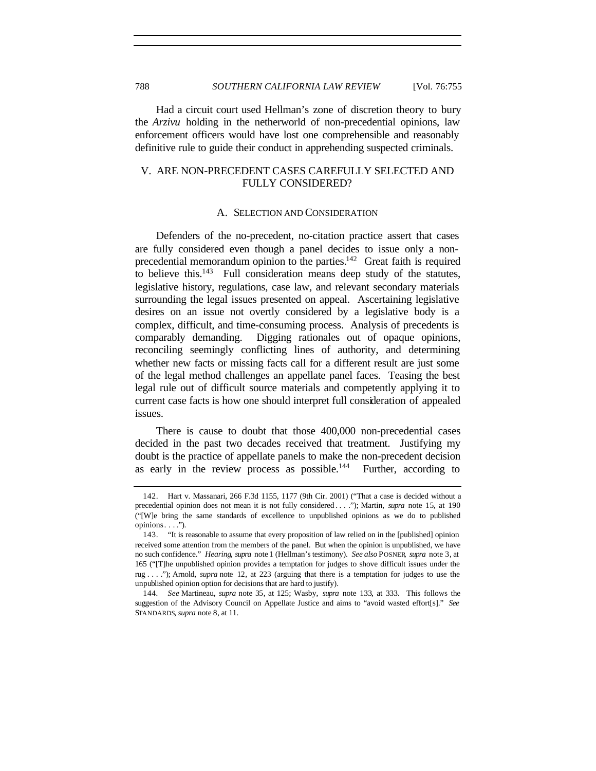Had a circuit court used Hellman's zone of discretion theory to bury the *Arzivu* holding in the netherworld of non-precedential opinions, law enforcement officers would have lost one comprehensible and reasonably definitive rule to guide their conduct in apprehending suspected criminals.

## V. ARE NON-PRECEDENT CASES CAREFULLY SELECTED AND FULLY CONSIDERED?

#### A. SELECTION AND CONSIDERATION

Defenders of the no-precedent, no-citation practice assert that cases are fully considered even though a panel decides to issue only a nonprecedential memorandum opinion to the parties.<sup>142</sup> Great faith is required to believe this.<sup>143</sup> Full consideration means deep study of the statutes, legislative history, regulations, case law, and relevant secondary materials surrounding the legal issues presented on appeal. Ascertaining legislative desires on an issue not overtly considered by a legislative body is a complex, difficult, and time-consuming process. Analysis of precedents is comparably demanding. Digging rationales out of opaque opinions, reconciling seemingly conflicting lines of authority, and determining whether new facts or missing facts call for a different result are just some of the legal method challenges an appellate panel faces. Teasing the best legal rule out of difficult source materials and competently applying it to current case facts is how one should interpret full consideration of appealed issues.

There is cause to doubt that those 400,000 non-precedential cases decided in the past two decades received that treatment. Justifying my doubt is the practice of appellate panels to make the non-precedent decision as early in the review process as possible.<sup>144</sup> Further, according to

<sup>142.</sup> Hart v. Massanari, 266 F.3d 1155, 1177 (9th Cir. 2001) ("That a case is decided without a precedential opinion does not mean it is not fully considered . . . ."); Martin, *supra* note 15, at 190 ("[W]e bring the same standards of excellence to unpublished opinions as we do to published opinions . . . .").

<sup>143.</sup> "It is reasonable to assume that every proposition of law relied on in the [published] opinion received some attention from the members of the panel. But when the opinion is unpublished, we have no such confidence." *Hearing*, *supra* note 1 (Hellman's testimony). *See also* POSNER, *supra* note 3, at 165 ("[T]he unpublished opinion provides a temptation for judges to shove difficult issues under the rug . . . ."); Arnold, *supra* note 12, at 223 (arguing that there is a temptation for judges to use the unpublished opinion option for decisions that are hard to justify).

<sup>144</sup>*. See* Martineau, *supra* note 35, at 125; Wasby, *supra* note 133, at 333. This follows the suggestion of the Advisory Council on Appellate Justice and aims to "avoid wasted effort[s]." *See* STANDARDS, *supra* note 8, at 11.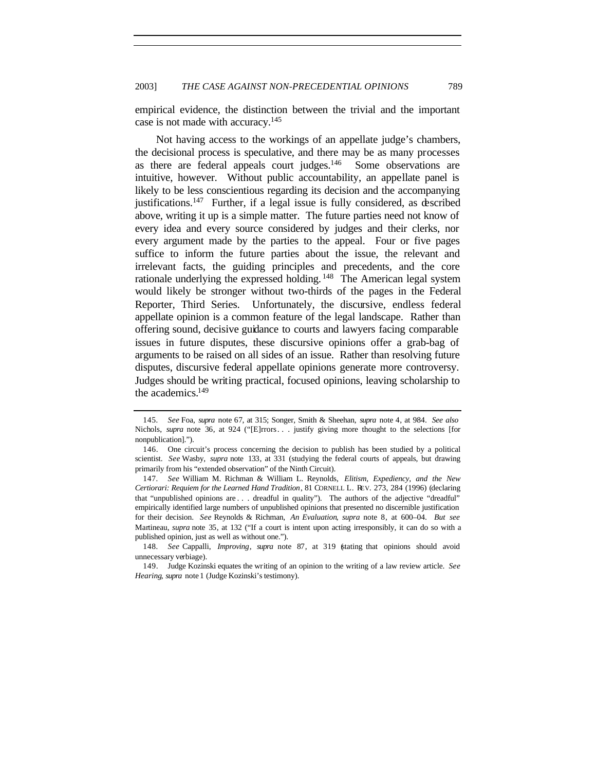empirical evidence, the distinction between the trivial and the important case is not made with accuracy.<sup>145</sup>

Not having access to the workings of an appellate judge's chambers, the decisional process is speculative, and there may be as many processes as there are federal appeals court judges.<sup>146</sup> Some observations are intuitive, however. Without public accountability, an appellate panel is likely to be less conscientious regarding its decision and the accompanying justifications.<sup>147</sup> Further, if a legal issue is fully considered, as described above, writing it up is a simple matter. The future parties need not know of every idea and every source considered by judges and their clerks, nor every argument made by the parties to the appeal. Four or five pages suffice to inform the future parties about the issue, the relevant and irrelevant facts, the guiding principles and precedents, and the core rationale underlying the expressed holding.<sup>148</sup> The American legal system would likely be stronger without two-thirds of the pages in the Federal Reporter, Third Series. Unfortunately, the discursive, endless federal appellate opinion is a common feature of the legal landscape. Rather than offering sound, decisive guidance to courts and lawyers facing comparable issues in future disputes, these discursive opinions offer a grab-bag of arguments to be raised on all sides of an issue. Rather than resolving future disputes, discursive federal appellate opinions generate more controversy. Judges should be writing practical, focused opinions, leaving scholarship to the academics.<sup>149</sup>

<sup>145</sup>*. See* Foa, *supra* note 67, at 315; Songer, Smith & Sheehan, *supra* note 4, at 984. *See also* Nichols, *supra* note 36, at 924 ("[E]rrors... justify giving more thought to the selections [for nonpublication].").

<sup>146.</sup> One circuit's process concerning the decision to publish has been studied by a political scientist. *See* Wasby, *supra* note 133, at 331 (studying the federal courts of appeals, but drawing primarily from his "extended observation" of the Ninth Circuit).

<sup>147</sup>*. See* William M. Richman & William L. Reynolds, *Elitism, Expediency, and the New Certiorari: Requiem for the Learned Hand Tradition*, 81 CORNELL L. REV. 273, 284 (1996) (declaring that "unpublished opinions are . . . dreadful in quality"). The authors of the adjective "dreadful" empirically identified large numbers of unpublished opinions that presented no discernible justification for their decision. *See* Reynolds & Richman, *An Evaluation*, *supra* note 8, at 600–04. *But see* Martineau, *supra* note 35, at 132 ("If a court is intent upon acting irresponsibly, it can do so with a published opinion, just as well as without one.").

<sup>148</sup>*. See* Cappalli, *Improving*, *supra* note 87, at 319 (stating that opinions should avoid unnecessary verbiage).

<sup>149.</sup> Judge Kozinski equates the writing of an opinion to the writing of a law review article. *See Hearing*, *supra* note 1 (Judge Kozinski's testimony).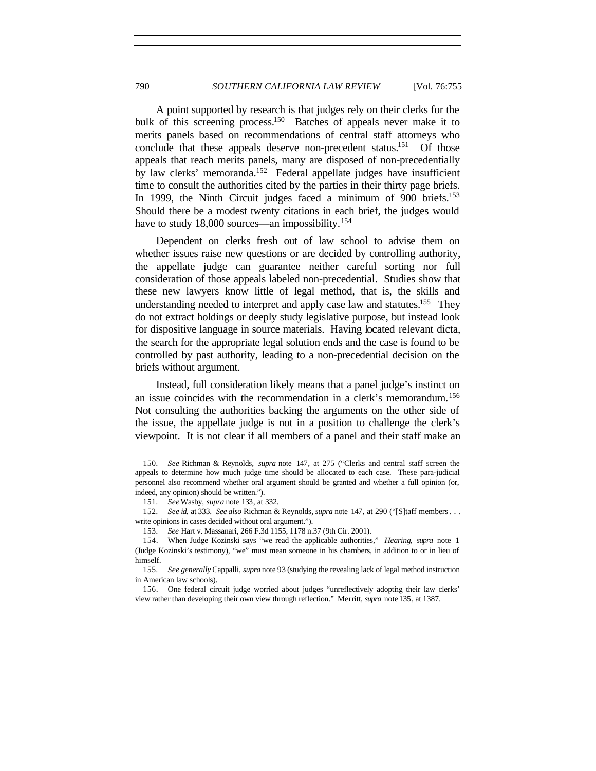A point supported by research is that judges rely on their clerks for the bulk of this screening process.<sup>150</sup> Batches of appeals never make it to merits panels based on recommendations of central staff attorneys who conclude that these appeals deserve non-precedent status.<sup>151</sup> Of those appeals that reach merits panels, many are disposed of non-precedentially by law clerks' memoranda.<sup>152</sup> Federal appellate judges have insufficient time to consult the authorities cited by the parties in their thirty page briefs. In 1999, the Ninth Circuit judges faced a minimum of 900 briefs.<sup>153</sup> Should there be a modest twenty citations in each brief, the judges would have to study 18,000 sources—an impossibility.<sup>154</sup>

Dependent on clerks fresh out of law school to advise them on whether issues raise new questions or are decided by controlling authority, the appellate judge can guarantee neither careful sorting nor full consideration of those appeals labeled non-precedential. Studies show that these new lawyers know little of legal method, that is, the skills and understanding needed to interpret and apply case law and statutes.<sup>155</sup> They do not extract holdings or deeply study legislative purpose, but instead look for dispositive language in source materials. Having located relevant dicta, the search for the appropriate legal solution ends and the case is found to be controlled by past authority, leading to a non-precedential decision on the briefs without argument.

Instead, full consideration likely means that a panel judge's instinct on an issue coincides with the recommendation in a clerk's memorandum.<sup>156</sup> Not consulting the authorities backing the arguments on the other side of the issue, the appellate judge is not in a position to challenge the clerk's viewpoint. It is not clear if all members of a panel and their staff make an

<sup>150</sup>*. See* Richman & Reynolds, *supra* note 147, at 275 ("Clerks and central staff screen the appeals to determine how much judge time should be allocated to each case. These para-judicial personnel also recommend whether oral argument should be granted and whether a full opinion (or, indeed, any opinion) should be written.").

<sup>151</sup>*. See* Wasby, *supra* note 133, at 332.

<sup>152</sup>*. See id.* at 333. *See also* Richman & Reynolds, *supra* note 147, at 290 ("[S]taff members . . . write opinions in cases decided without oral argument.").

<sup>153</sup>*. See* Hart v. Massanari, 266 F.3d 1155, 1178 n.37 (9th Cir. 2001).

<sup>154.</sup> When Judge Kozinski says "we read the applicable authorities," *Hearing*, *supra* note 1 (Judge Kozinski's testimony), "we" must mean someone in his chambers, in addition to or in lieu of himself.

<sup>155</sup>*. See generally* Cappalli, *supra* note 93 (studying the revealing lack of legal method instruction in American law schools).

<sup>156.</sup> One federal circuit judge worried about judges "unreflectively adopting their law clerks' view rather than developing their own view through reflection." Merritt, *supra* note 135, at 1387.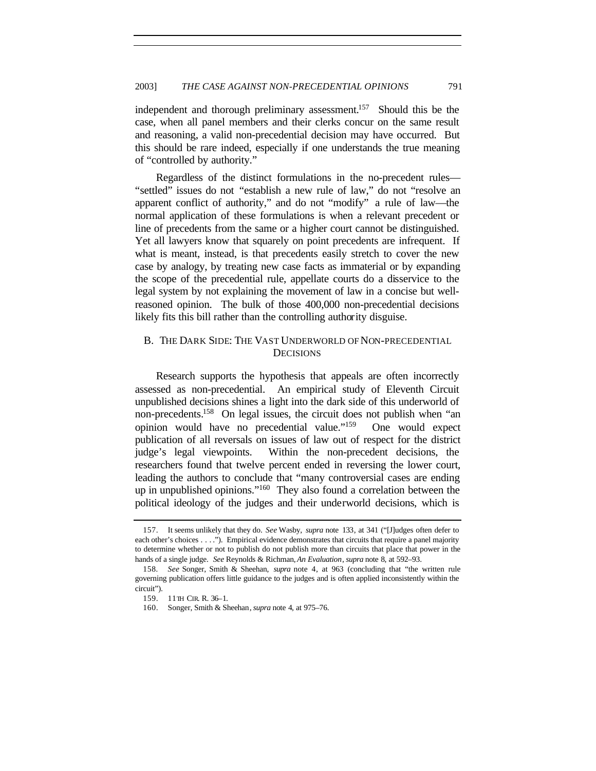independent and thorough preliminary assessment.<sup>157</sup> Should this be the case, when all panel members and their clerks concur on the same result and reasoning, a valid non-precedential decision may have occurred. But this should be rare indeed, especially if one understands the true meaning of "controlled by authority."

Regardless of the distinct formulations in the no-precedent rules— "settled" issues do not "establish a new rule of law," do not "resolve an apparent conflict of authority," and do not "modify" a rule of law—the normal application of these formulations is when a relevant precedent or line of precedents from the same or a higher court cannot be distinguished. Yet all lawyers know that squarely on point precedents are infrequent. If what is meant, instead, is that precedents easily stretch to cover the new case by analogy, by treating new case facts as immaterial or by expanding the scope of the precedential rule, appellate courts do a disservice to the legal system by not explaining the movement of law in a concise but wellreasoned opinion. The bulk of those 400,000 non-precedential decisions likely fits this bill rather than the controlling authority disguise.

# B. THE DARK SIDE: THE VAST UNDERWORLD OF NON-PRECEDENTIAL **DECISIONS**

Research supports the hypothesis that appeals are often incorrectly assessed as non-precedential. An empirical study of Eleventh Circuit unpublished decisions shines a light into the dark side of this underworld of non-precedents.<sup>158</sup> On legal issues, the circuit does not publish when "an opinion would have no precedential value."<sup>159</sup> One would expect publication of all reversals on issues of law out of respect for the district judge's legal viewpoints. Within the non-precedent decisions, the researchers found that twelve percent ended in reversing the lower court, leading the authors to conclude that "many controversial cases are ending up in unpublished opinions."<sup>160</sup> They also found a correlation between the political ideology of the judges and their underworld decisions, which is

<sup>157.</sup> It seems unlikely that they do. *See* Wasby, *supra* note 133, at 341 ("[J]udges often defer to each other's choices . . . ."). Empirical evidence demonstrates that circuits that require a panel majority to determine whether or not to publish do not publish more than circuits that place that power in the hands of a single judge. *See* Reynolds & Richman, *An Evaluation*, *supra* note 8, at 592–93.

<sup>158</sup>*. See* Songer, Smith & Sheehan, *supra* note 4, at 963 (concluding that "the written rule governing publication offers little guidance to the judges and is often applied inconsistently within the circuit").

<sup>159.</sup> 11TH CIR. R. 36–1.

<sup>160.</sup> Songer, Smith & Sheehan, *supra* note 4, at 975–76.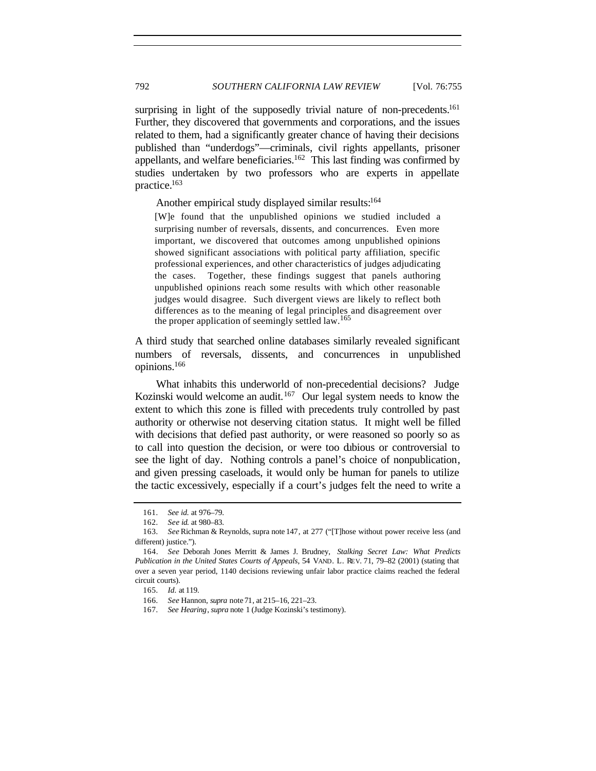surprising in light of the supposedly trivial nature of non-precedents.<sup>161</sup> Further, they discovered that governments and corporations, and the issues related to them, had a significantly greater chance of having their decisions published than "underdogs"—criminals, civil rights appellants, prisoner appellants, and welfare beneficiaries.<sup>162</sup> This last finding was confirmed by studies undertaken by two professors who are experts in appellate practice.<sup>163</sup>

Another empirical study displayed similar results:<sup>164</sup>

[W]e found that the unpublished opinions we studied included a surprising number of reversals, dissents, and concurrences. Even more important, we discovered that outcomes among unpublished opinions showed significant associations with political party affiliation, specific professional experiences, and other characteristics of judges adjudicating the cases. Together, these findings suggest that panels authoring unpublished opinions reach some results with which other reasonable judges would disagree. Such divergent views are likely to reflect both differences as to the meaning of legal principles and disagreement over the proper application of seemingly settled law.<sup>165</sup>

A third study that searched online databases similarly revealed significant numbers of reversals, dissents, and concurrences in unpublished opinions.<sup>166</sup>

What inhabits this underworld of non-precedential decisions? Judge Kozinski would welcome an audit.<sup>167</sup> Our legal system needs to know the extent to which this zone is filled with precedents truly controlled by past authority or otherwise not deserving citation status. It might well be filled with decisions that defied past authority, or were reasoned so poorly so as to call into question the decision, or were too dubious or controversial to see the light of day. Nothing controls a panel's choice of nonpublication, and given pressing caseloads, it would only be human for panels to utilize the tactic excessively, especially if a court's judges felt the need to write a

<sup>161</sup>*. See id.* at 976–79.

<sup>162</sup>*. See id.* at 980–83.

<sup>163</sup>*. See* Richman & Reynolds, supra note 147, at 277 ("[T]hose without power receive less (and different) justice.").

<sup>164.</sup> *See* Deborah Jones Merritt & James J. Brudney, *Stalking Secret Law: What Predicts Publication in the United States Courts of Appeals*, 54 VAND. L. REV. 71, 79–82 (2001) (stating that over a seven year period, 1140 decisions reviewing unfair labor practice claims reached the federal circuit courts).

<sup>165</sup>*. Id.* at 119.

<sup>166</sup>*. See* Hannon, *supra* note 71, at 215–16, 221–23.

<sup>167</sup>*. See Hearing*, *supra* note 1 (Judge Kozinski's testimony).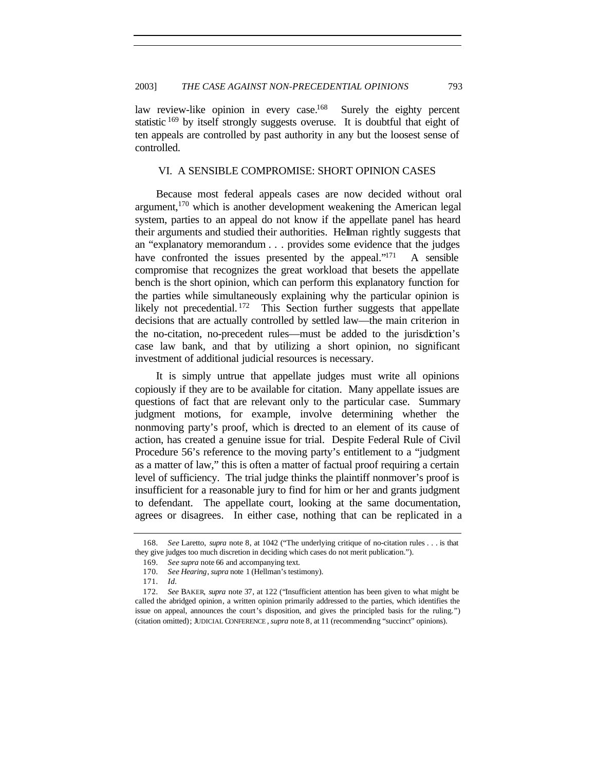law review-like opinion in every case.<sup>168</sup> Surely the eighty percent statistic  $169$  by itself strongly suggests overuse. It is doubtful that eight of ten appeals are controlled by past authority in any but the loosest sense of controlled.

## VI. A SENSIBLE COMPROMISE: SHORT OPINION CASES

Because most federal appeals cases are now decided without oral argument,<sup>170</sup> which is another development weakening the American legal system, parties to an appeal do not know if the appellate panel has heard their arguments and studied their authorities. Hellman rightly suggests that an "explanatory memorandum . . . provides some evidence that the judges have confronted the issues presented by the appeal. $171$  A sensible compromise that recognizes the great workload that besets the appellate bench is the short opinion, which can perform this explanatory function for the parties while simultaneously explaining why the particular opinion is likely not precedential.<sup>172</sup> This Section further suggests that appellate decisions that are actually controlled by settled law—the main criterion in the no-citation, no-precedent rules—must be added to the jurisdiction's case law bank, and that by utilizing a short opinion, no significant investment of additional judicial resources is necessary.

It is simply untrue that appellate judges must write all opinions copiously if they are to be available for citation. Many appellate issues are questions of fact that are relevant only to the particular case. Summary judgment motions, for example, involve determining whether the nonmoving party's proof, which is directed to an element of its cause of action, has created a genuine issue for trial. Despite Federal Rule of Civil Procedure 56's reference to the moving party's entitlement to a "judgment as a matter of law," this is often a matter of factual proof requiring a certain level of sufficiency. The trial judge thinks the plaintiff nonmover's proof is insufficient for a reasonable jury to find for him or her and grants judgment to defendant. The appellate court, looking at the same documentation, agrees or disagrees. In either case, nothing that can be replicated in a

<sup>168</sup>*. See* Laretto, *supra* note 8, at 1042 ("The underlying critique of no-citation rules . . . is that they give judges too much discretion in deciding which cases do not merit publication.").

<sup>169</sup>*. See supra* note 66 and accompanying text.

<sup>170</sup>*. See Hearing*, *supra* note 1 (Hellman's testimony).

<sup>171</sup>*. Id.*

<sup>172</sup>*. See* BAKER, *supra* note 37, at 122 ("Insufficient attention has been given to what might be called the abridged opinion, a written opinion primarily addressed to the parties, which identifies the issue on appeal, announces the court's disposition, and gives the principled basis for the ruling.") (citation omitted); JUDICIAL CONFERENCE , *supra* note 8, at 11 (recommending "succinct" opinions).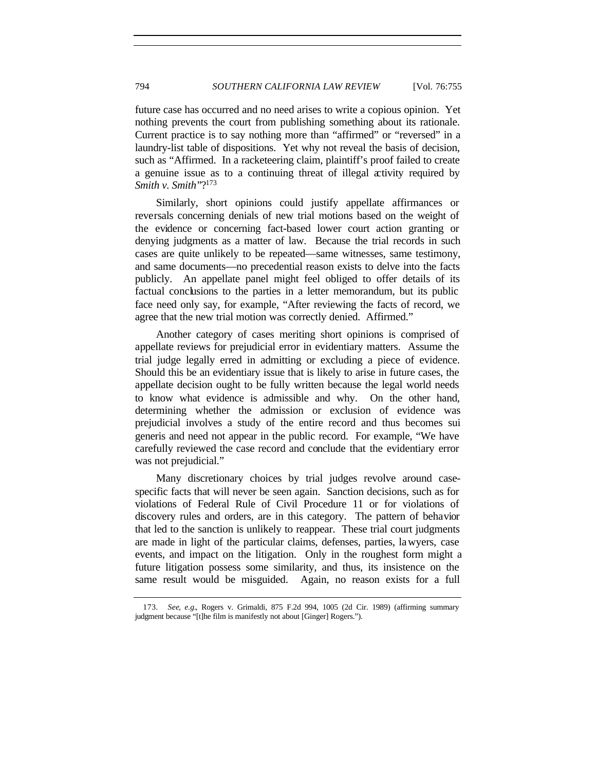future case has occurred and no need arises to write a copious opinion. Yet nothing prevents the court from publishing something about its rationale. Current practice is to say nothing more than "affirmed" or "reversed" in a laundry-list table of dispositions. Yet why not reveal the basis of decision, such as "Affirmed. In a racketeering claim, plaintiff's proof failed to create a genuine issue as to a continuing threat of illegal activity required by *Smith v. Smith*"?<sup>173</sup>

Similarly, short opinions could justify appellate affirmances or reversals concerning denials of new trial motions based on the weight of the evidence or concerning fact-based lower court action granting or denying judgments as a matter of law. Because the trial records in such cases are quite unlikely to be repeated—same witnesses, same testimony, and same documents—no precedential reason exists to delve into the facts publicly. An appellate panel might feel obliged to offer details of its factual conclusions to the parties in a letter memorandum, but its public face need only say, for example, "After reviewing the facts of record, we agree that the new trial motion was correctly denied. Affirmed."

Another category of cases meriting short opinions is comprised of appellate reviews for prejudicial error in evidentiary matters. Assume the trial judge legally erred in admitting or excluding a piece of evidence. Should this be an evidentiary issue that is likely to arise in future cases, the appellate decision ought to be fully written because the legal world needs to know what evidence is admissible and why. On the other hand, determining whether the admission or exclusion of evidence was prejudicial involves a study of the entire record and thus becomes sui generis and need not appear in the public record. For example, "We have carefully reviewed the case record and conclude that the evidentiary error was not prejudicial."

Many discretionary choices by trial judges revolve around casespecific facts that will never be seen again. Sanction decisions, such as for violations of Federal Rule of Civil Procedure 11 or for violations of discovery rules and orders, are in this category. The pattern of behavior that led to the sanction is unlikely to reappear. These trial court judgments are made in light of the particular claims, defenses, parties, lawyers, case events, and impact on the litigation. Only in the roughest form might a future litigation possess some similarity, and thus, its insistence on the same result would be misguided. Again, no reason exists for a full

<sup>173</sup>*. See, e.g.*, Rogers v. Grimaldi, 875 F.2d 994, 1005 (2d Cir. 1989) (affirming summary judgment because "[t]he film is manifestly not about [Ginger] Rogers.").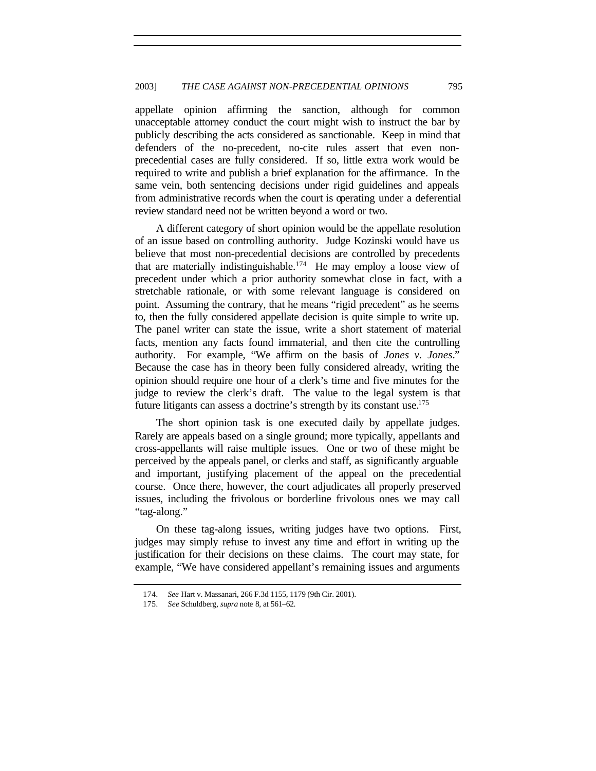appellate opinion affirming the sanction, although for common unacceptable attorney conduct the court might wish to instruct the bar by publicly describing the acts considered as sanctionable. Keep in mind that defenders of the no-precedent, no-cite rules assert that even nonprecedential cases are fully considered. If so, little extra work would be required to write and publish a brief explanation for the affirmance. In the same vein, both sentencing decisions under rigid guidelines and appeals from administrative records when the court is operating under a deferential review standard need not be written beyond a word or two.

A different category of short opinion would be the appellate resolution of an issue based on controlling authority. Judge Kozinski would have us believe that most non-precedential decisions are controlled by precedents that are materially indistinguishable.<sup>174</sup> He may employ a loose view of precedent under which a prior authority somewhat close in fact, with a stretchable rationale, or with some relevant language is considered on point. Assuming the contrary, that he means "rigid precedent" as he seems to, then the fully considered appellate decision is quite simple to write up. The panel writer can state the issue, write a short statement of material facts, mention any facts found immaterial, and then cite the controlling authority. For example, "We affirm on the basis of *Jones v. Jones*." Because the case has in theory been fully considered already, writing the opinion should require one hour of a clerk's time and five minutes for the judge to review the clerk's draft. The value to the legal system is that future litigants can assess a doctrine's strength by its constant use.<sup>175</sup>

The short opinion task is one executed daily by appellate judges. Rarely are appeals based on a single ground; more typically, appellants and cross-appellants will raise multiple issues. One or two of these might be perceived by the appeals panel, or clerks and staff, as significantly arguable and important, justifying placement of the appeal on the precedential course. Once there, however, the court adjudicates all properly preserved issues, including the frivolous or borderline frivolous ones we may call "tag-along."

On these tag-along issues, writing judges have two options. First, judges may simply refuse to invest any time and effort in writing up the justification for their decisions on these claims. The court may state, for example, "We have considered appellant's remaining issues and arguments

<sup>174</sup>*. See* Hart v. Massanari, 266 F.3d 1155, 1179 (9th Cir. 2001).

<sup>175</sup>*. See* Schuldberg, *supra* note 8, at 561–62.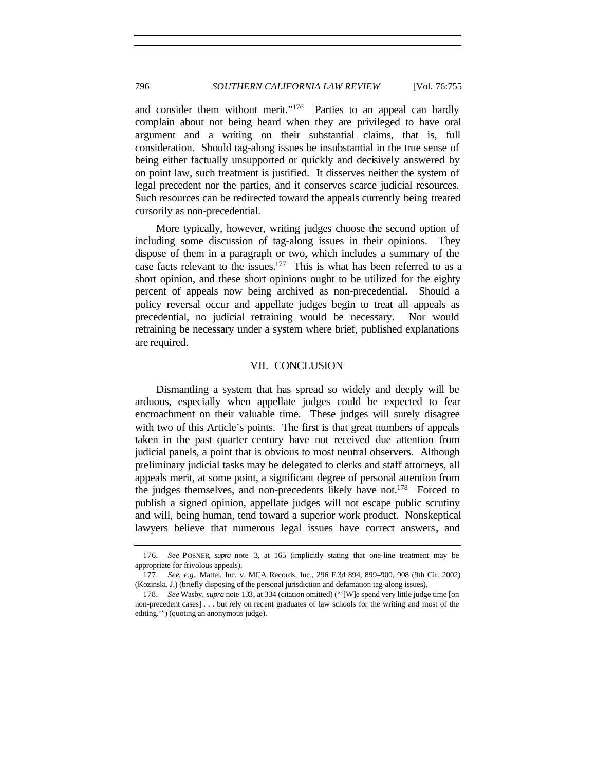and consider them without merit."<sup>176</sup> Parties to an appeal can hardly complain about not being heard when they are privileged to have oral argument and a writing on their substantial claims, that is, full consideration. Should tag-along issues be insubstantial in the true sense of being either factually unsupported or quickly and decisively answered by on point law, such treatment is justified. It disserves neither the system of legal precedent nor the parties, and it conserves scarce judicial resources. Such resources can be redirected toward the appeals currently being treated cursorily as non-precedential.

More typically, however, writing judges choose the second option of including some discussion of tag-along issues in their opinions. They dispose of them in a paragraph or two, which includes a summary of the case facts relevant to the issues.<sup>177</sup> This is what has been referred to as a short opinion, and these short opinions ought to be utilized for the eighty percent of appeals now being archived as non-precedential. Should a policy reversal occur and appellate judges begin to treat all appeals as precedential, no judicial retraining would be necessary. Nor would retraining be necessary under a system where brief, published explanations are required.

#### VII. CONCLUSION

Dismantling a system that has spread so widely and deeply will be arduous, especially when appellate judges could be expected to fear encroachment on their valuable time. These judges will surely disagree with two of this Article's points. The first is that great numbers of appeals taken in the past quarter century have not received due attention from judicial panels, a point that is obvious to most neutral observers. Although preliminary judicial tasks may be delegated to clerks and staff attorneys, all appeals merit, at some point, a significant degree of personal attention from the judges themselves, and non-precedents likely have not.<sup>178</sup> Forced to publish a signed opinion, appellate judges will not escape public scrutiny and will, being human, tend toward a superior work product. Nonskeptical lawyers believe that numerous legal issues have correct answers, and

<sup>176</sup>*. See* POSNER, *supra* note 3, at 165 (implicitly stating that one-line treatment may be appropriate for frivolous appeals).

<sup>177</sup>*. See, e.g.*, Mattel, Inc. v. MCA Records, Inc., 296 F.3d 894, 899–900, 908 (9th Cir. 2002) (Kozinski, J.) (briefly disposing of the personal jurisdiction and defamation tag-along issues).

<sup>178</sup>*. See* Wasby, *supra* note 133, at 334 (citation omitted) ("'[W]e spend very little judge time [on non-precedent cases] . . . but rely on recent graduates of law schools for the writing and most of the editing.'") (quoting an anonymous judge).